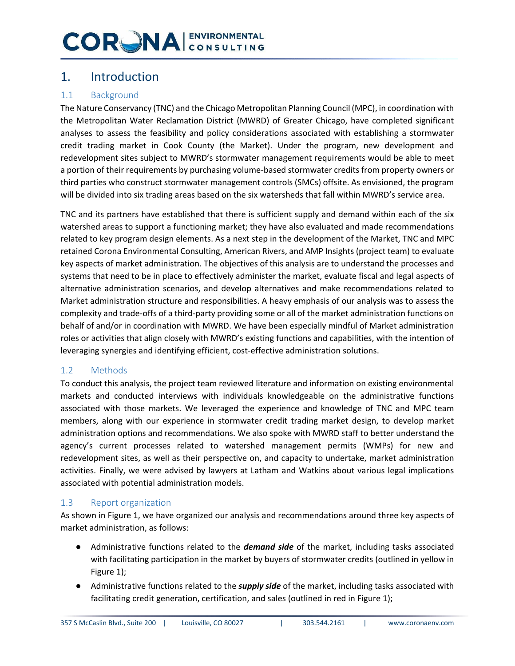### 1. Introduction

### 1.1 Background

The Nature Conservancy (TNC) and the Chicago Metropolitan Planning Council (MPC), in coordination with the Metropolitan Water Reclamation District (MWRD) of Greater Chicago, have completed significant analyses to assess the feasibility and policy considerations associated with establishing a stormwater credit trading market in Cook County (the Market). Under the program, new development and redevelopment sites subject to MWRD's stormwater management requirements would be able to meet a portion of their requirements by purchasing volume-based stormwater credits from property owners or third parties who construct stormwater management controls (SMCs) offsite. As envisioned, the program will be divided into six trading areas based on the six watersheds that fall within MWRD's service area.

TNC and its partners have established that there is sufficient supply and demand within each of the six watershed areas to support a functioning market; they have also evaluated and made recommendations related to key program design elements. As a next step in the development of the Market, TNC and MPC retained Corona Environmental Consulting, American Rivers, and AMP Insights (project team) to evaluate key aspects of market administration. The objectives of this analysis are to understand the processes and systems that need to be in place to effectively administer the market, evaluate fiscal and legal aspects of alternative administration scenarios, and develop alternatives and make recommendations related to Market administration structure and responsibilities. A heavy emphasis of our analysis was to assess the complexity and trade-offs of a third-party providing some or all of the market administration functions on behalf of and/or in coordination with MWRD. We have been especially mindful of Market administration roles or activities that align closely with MWRD's existing functions and capabilities, with the intention of leveraging synergies and identifying efficient, cost-effective administration solutions.

#### 1.2 Methods

To conduct this analysis, the project team reviewed literature and information on existing environmental markets and conducted interviews with individuals knowledgeable on the administrative functions associated with those markets. We leveraged the experience and knowledge of TNC and MPC team members, along with our experience in stormwater credit trading market design, to develop market administration options and recommendations. We also spoke with MWRD staff to better understand the agency's current processes related to watershed management permits (WMPs) for new and redevelopment sites, as well as their perspective on, and capacity to undertake, market administration activities. Finally, we were advised by lawyers at Latham and Watkins about various legal implications associated with potential administration models.

#### 1.3 Report organization

As shown in Figure 1, we have organized our analysis and recommendations around three key aspects of market administration, as follows:

- Administrative functions related to the *demand side* of the market, including tasks associated with facilitating participation in the market by buyers of stormwater credits (outlined in yellow in Figure 1);
- Administrative functions related to the *supply side* of the market, including tasks associated with facilitating credit generation, certification, and sales (outlined in red in Figure 1);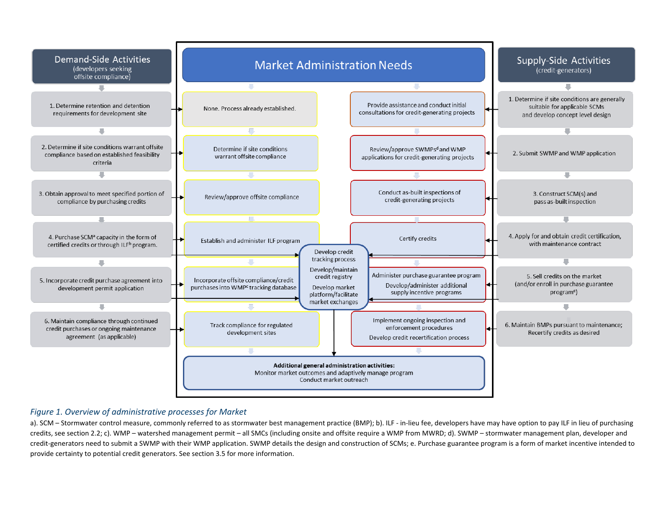

#### *Figure 1. Overview of administrative processes for Market*

a). SCM – Stormwater control measure, commonly referred to as stormwater best management practice (BMP); b). ILF - in-lieu fee, developers have may have option to pay ILF in lieu of purchasing credits, see section 2.2; c). WMP – watershed management permit – all SMCs (including onsite and offsite require a WMP from MWRD; d). SWMP – stormwater management plan, developer and credit-generators need to submit a SWMP with their WMP application. SWMP details the design and construction of SCMs; e. Purchase guarantee program is a form of market incentive intended to provide certainty to potential credit generators. See section 3.5 for more information.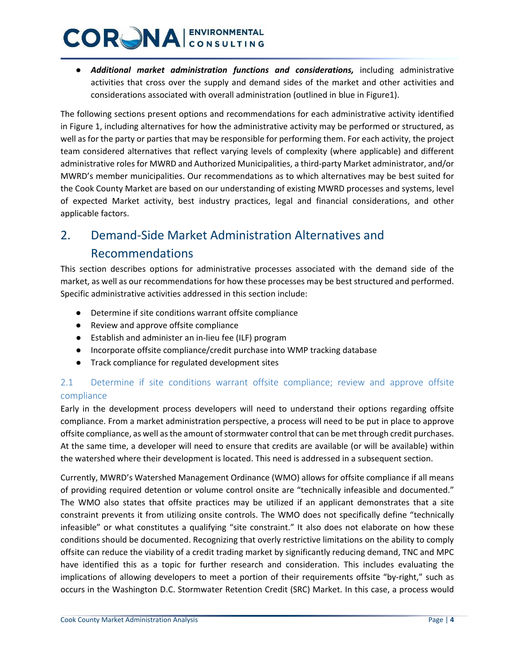● *Additional market administration functions and considerations,* including administrative activities that cross over the supply and demand sides of the market and other activities and considerations associated with overall administration (outlined in blue in Figure1).

The following sections present options and recommendations for each administrative activity identified in Figure 1, including alternatives for how the administrative activity may be performed or structured, as well as for the party or parties that may be responsible for performing them. For each activity, the project team considered alternatives that reflect varying levels of complexity (where applicable) and different administrative roles for MWRD and Authorized Municipalities, a third-party Market administrator, and/or MWRD's member municipalities. Our recommendations as to which alternatives may be best suited for the Cook County Market are based on our understanding of existing MWRD processes and systems, level of expected Market activity, best industry practices, legal and financial considerations, and other applicable factors.

### 2. Demand-Side Market Administration Alternatives and Recommendations

This section describes options for administrative processes associated with the demand side of the market, as well as our recommendations for how these processes may be best structured and performed. Specific administrative activities addressed in this section include:

- Determine if site conditions warrant offsite compliance
- Review and approve offsite compliance
- Establish and administer an in-lieu fee (ILF) program
- Incorporate offsite compliance/credit purchase into WMP tracking database
- Track compliance for regulated development sites

### 2.1 Determine if site conditions warrant offsite compliance; review and approve offsite compliance

Early in the development process developers will need to understand their options regarding offsite compliance. From a market administration perspective, a process will need to be put in place to approve offsite compliance, as well as the amount of stormwater control that can be met through credit purchases. At the same time, a developer will need to ensure that credits are available (or will be available) within the watershed where their development is located. This need is addressed in a subsequent section.

Currently, MWRD's Watershed Management Ordinance (WMO) allows for offsite compliance if all means of providing required detention or volume control onsite are "technically infeasible and documented." The WMO also states that offsite practices may be utilized if an applicant demonstrates that a site constraint prevents it from utilizing onsite controls. The WMO does not specifically define "technically infeasible" or what constitutes a qualifying "site constraint." It also does not elaborate on how these conditions should be documented. Recognizing that overly restrictive limitations on the ability to comply offsite can reduce the viability of a credit trading market by significantly reducing demand, TNC and MPC have identified this as a topic for further research and consideration. This includes evaluating the implications of allowing developers to meet a portion of their requirements offsite "by-right," such as occurs in the Washington D.C. Stormwater Retention Credit (SRC) Market. In this case, a process would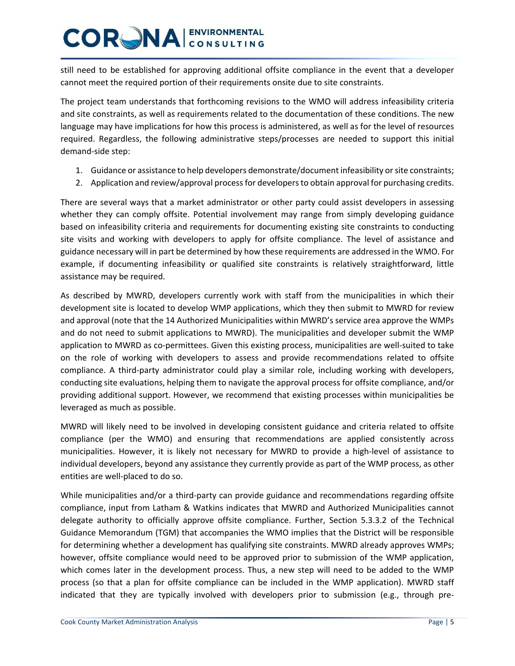still need to be established for approving additional offsite compliance in the event that a developer cannot meet the required portion of their requirements onsite due to site constraints.

The project team understands that forthcoming revisions to the WMO will address infeasibility criteria and site constraints, as well as requirements related to the documentation of these conditions. The new language may have implications for how this process is administered, as well as for the level of resources required. Regardless, the following administrative steps/processes are needed to support this initial demand-side step:

- 1. Guidance or assistance to help developers demonstrate/document infeasibility or site constraints;
- 2. Application and review/approval process for developers to obtain approval for purchasing credits.

There are several ways that a market administrator or other party could assist developers in assessing whether they can comply offsite. Potential involvement may range from simply developing guidance based on infeasibility criteria and requirements for documenting existing site constraints to conducting site visits and working with developers to apply for offsite compliance. The level of assistance and guidance necessary will in part be determined by how these requirements are addressed in the WMO. For example, if documenting infeasibility or qualified site constraints is relatively straightforward, little assistance may be required.

As described by MWRD, developers currently work with staff from the municipalities in which their development site is located to develop WMP applications, which they then submit to MWRD for review and approval (note that the 14 Authorized Municipalities within MWRD's service area approve the WMPs and do not need to submit applications to MWRD). The municipalities and developer submit the WMP application to MWRD as co-permittees. Given this existing process, municipalities are well-suited to take on the role of working with developers to assess and provide recommendations related to offsite compliance. A third-party administrator could play a similar role, including working with developers, conducting site evaluations, helping them to navigate the approval process for offsite compliance, and/or providing additional support. However, we recommend that existing processes within municipalities be leveraged as much as possible.

MWRD will likely need to be involved in developing consistent guidance and criteria related to offsite compliance (per the WMO) and ensuring that recommendations are applied consistently across municipalities. However, it is likely not necessary for MWRD to provide a high-level of assistance to individual developers, beyond any assistance they currently provide as part of the WMP process, as other entities are well-placed to do so.

While municipalities and/or a third-party can provide guidance and recommendations regarding offsite compliance, input from Latham & Watkins indicates that MWRD and Authorized Municipalities cannot delegate authority to officially approve offsite compliance. Further, Section 5.3.3.2 of the Technical Guidance Memorandum (TGM) that accompanies the WMO implies that the District will be responsible for determining whether a development has qualifying site constraints. MWRD already approves WMPs; however, offsite compliance would need to be approved prior to submission of the WMP application, which comes later in the development process. Thus, a new step will need to be added to the WMP process (so that a plan for offsite compliance can be included in the WMP application). MWRD staff indicated that they are typically involved with developers prior to submission (e.g., through pre-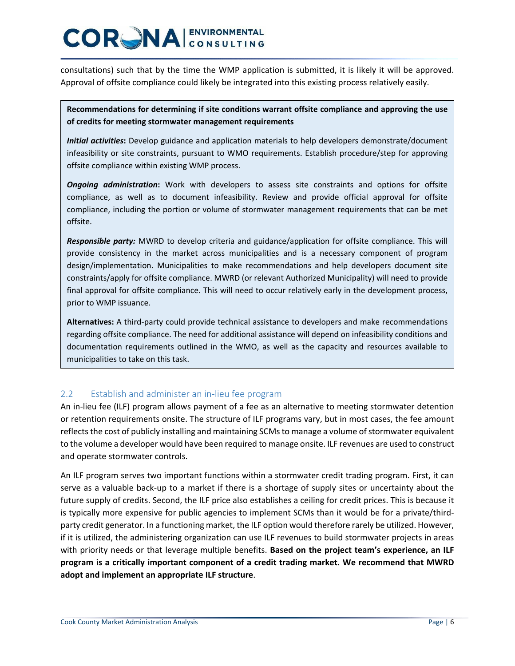consultations) such that by the time the WMP application is submitted, it is likely it will be approved. Approval of offsite compliance could likely be integrated into this existing process relatively easily.

#### **Recommendations for determining if site conditions warrant offsite compliance and approving the use of credits for meeting stormwater management requirements**

*Initial activities***:** Develop guidance and application materials to help developers demonstrate/document infeasibility or site constraints, pursuant to WMO requirements. Establish procedure/step for approving offsite compliance within existing WMP process.

*Ongoing administration***:** Work with developers to assess site constraints and options for offsite compliance, as well as to document infeasibility. Review and provide official approval for offsite compliance, including the portion or volume of stormwater management requirements that can be met offsite.

*Responsible party:* MWRD to develop criteria and guidance/application for offsite compliance. This will provide consistency in the market across municipalities and is a necessary component of program design/implementation. Municipalities to make recommendations and help developers document site constraints/apply for offsite compliance. MWRD (or relevant Authorized Municipality) will need to provide final approval for offsite compliance. This will need to occur relatively early in the development process, prior to WMP issuance.

**Alternatives:** A third-party could provide technical assistance to developers and make recommendations regarding offsite compliance. The need for additional assistance will depend on infeasibility conditions and documentation requirements outlined in the WMO, as well as the capacity and resources available to municipalities to take on this task.

#### 2.2 Establish and administer an in-lieu fee program

An in-lieu fee (ILF) program allows payment of a fee as an alternative to meeting stormwater detention or retention requirements onsite. The structure of ILF programs vary, but in most cases, the fee amount reflects the cost of publicly installing and maintaining SCMs to manage a volume of stormwater equivalent to the volume a developer would have been required to manage onsite. ILF revenues are used to construct and operate stormwater controls.

An ILF program serves two important functions within a stormwater credit trading program. First, it can serve as a valuable back-up to a market if there is a shortage of supply sites or uncertainty about the future supply of credits. Second, the ILF price also establishes a ceiling for credit prices. This is because it is typically more expensive for public agencies to implement SCMs than it would be for a private/thirdparty credit generator. In a functioning market, the ILF option would therefore rarely be utilized. However, if it is utilized, the administering organization can use ILF revenues to build stormwater projects in areas with priority needs or that leverage multiple benefits. **Based on the project team's experience, an ILF program is a critically important component of a credit trading market. We recommend that MWRD adopt and implement an appropriate ILF structure**.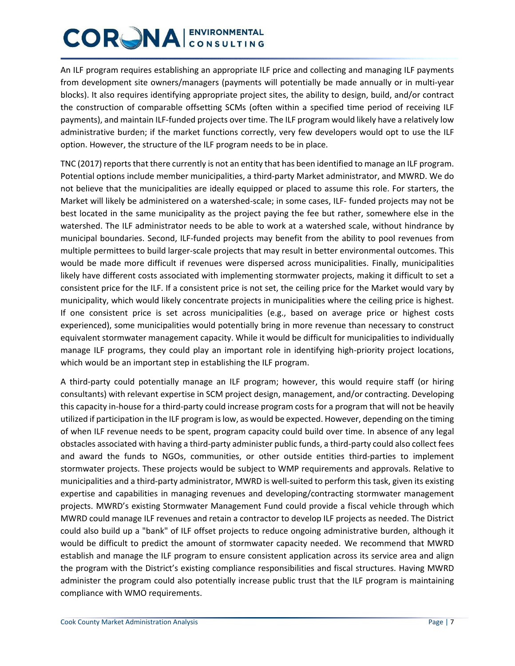An ILF program requires establishing an appropriate ILF price and collecting and managing ILF payments from development site owners/managers (payments will potentially be made annually or in multi-year blocks). It also requires identifying appropriate project sites, the ability to design, build, and/or contract the construction of comparable offsetting SCMs (often within a specified time period of receiving ILF payments), and maintain ILF-funded projects over time. The ILF program would likely have a relatively low administrative burden; if the market functions correctly, very few developers would opt to use the ILF option. However, the structure of the ILF program needs to be in place.

TNC (2017) reports that there currently is not an entity that has been identified to manage an ILF program. Potential options include member municipalities, a third-party Market administrator, and MWRD. We do not believe that the municipalities are ideally equipped or placed to assume this role. For starters, the Market will likely be administered on a watershed-scale; in some cases, ILF- funded projects may not be best located in the same municipality as the project paying the fee but rather, somewhere else in the watershed. The ILF administrator needs to be able to work at a watershed scale, without hindrance by municipal boundaries. Second, ILF-funded projects may benefit from the ability to pool revenues from multiple permittees to build larger-scale projects that may result in better environmental outcomes. This would be made more difficult if revenues were dispersed across municipalities. Finally, municipalities likely have different costs associated with implementing stormwater projects, making it difficult to set a consistent price for the ILF. If a consistent price is not set, the ceiling price for the Market would vary by municipality, which would likely concentrate projects in municipalities where the ceiling price is highest. If one consistent price is set across municipalities (e.g., based on average price or highest costs experienced), some municipalities would potentially bring in more revenue than necessary to construct equivalent stormwater management capacity. While it would be difficult for municipalities to individually manage ILF programs, they could play an important role in identifying high-priority project locations, which would be an important step in establishing the ILF program.

A third-party could potentially manage an ILF program; however, this would require staff (or hiring consultants) with relevant expertise in SCM project design, management, and/or contracting. Developing this capacity in-house for a third-party could increase program costs for a program that will not be heavily utilized if participation in the ILF program is low, as would be expected. However, depending on the timing of when ILF revenue needs to be spent, program capacity could build over time. In absence of any legal obstacles associated with having a third-party administer public funds, a third-party could also collect fees and award the funds to NGOs, communities, or other outside entities third-parties to implement stormwater projects. These projects would be subject to WMP requirements and approvals. Relative to municipalities and a third-party administrator, MWRD is well-suited to perform this task, given its existing expertise and capabilities in managing revenues and developing/contracting stormwater management projects. MWRD's existing Stormwater Management Fund could provide a fiscal vehicle through which MWRD could manage ILF revenues and retain a contractor to develop ILF projects as needed. The District could also build up a "bank" of ILF offset projects to reduce ongoing administrative burden, although it would be difficult to predict the amount of stormwater capacity needed. We recommend that MWRD establish and manage the ILF program to ensure consistent application across its service area and align the program with the District's existing compliance responsibilities and fiscal structures. Having MWRD administer the program could also potentially increase public trust that the ILF program is maintaining compliance with WMO requirements.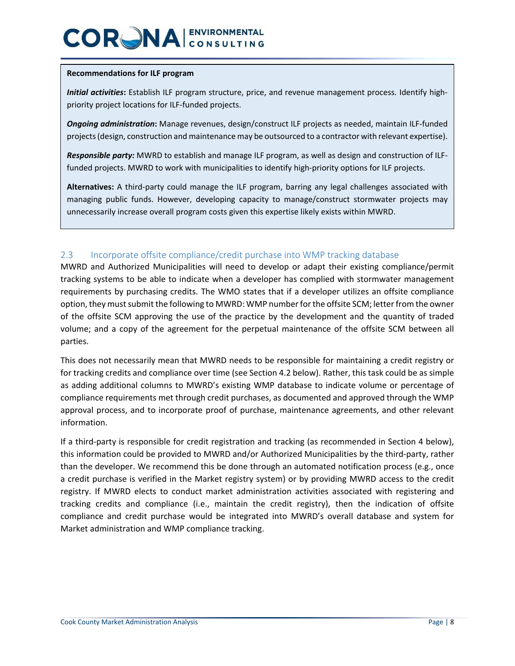#### **Recommendations for ILF program**

*Initial activities***:** Establish ILF program structure, price, and revenue management process. Identify highpriority project locations for ILF-funded projects.

*Ongoing administration***:** Manage revenues, design/construct ILF projects as needed, maintain ILF-funded projects (design, construction and maintenance may be outsourced to a contractor with relevant expertise).

*Responsible party:* MWRD to establish and manage ILF program, as well as design and construction of ILFfunded projects. MWRD to work with municipalities to identify high-priority options for ILF projects.

**Alternatives:** A third-party could manage the ILF program, barring any legal challenges associated with managing public funds. However, developing capacity to manage/construct stormwater projects may unnecessarily increase overall program costs given this expertise likely exists within MWRD.

#### 2.3 Incorporate offsite compliance/credit purchase into WMP tracking database

MWRD and Authorized Municipalities will need to develop or adapt their existing compliance/permit tracking systems to be able to indicate when a developer has complied with stormwater management requirements by purchasing credits. The WMO states that if a developer utilizes an offsite compliance option, they must submit the following to MWRD: WMP number for the offsite SCM; letter from the owner of the offsite SCM approving the use of the practice by the development and the quantity of traded volume; and a copy of the agreement for the perpetual maintenance of the offsite SCM between all parties.

This does not necessarily mean that MWRD needs to be responsible for maintaining a credit registry or for tracking credits and compliance over time (see Section 4.2 below). Rather, this task could be as simple as adding additional columns to MWRD's existing WMP database to indicate volume or percentage of compliance requirements met through credit purchases, as documented and approved through the WMP approval process, and to incorporate proof of purchase, maintenance agreements, and other relevant information.

If a third-party is responsible for credit registration and tracking (as recommended in Section 4 below), this information could be provided to MWRD and/or Authorized Municipalities by the third-party, rather than the developer. We recommend this be done through an automated notification process (e.g., once a credit purchase is verified in the Market registry system) or by providing MWRD access to the credit registry. If MWRD elects to conduct market administration activities associated with registering and tracking credits and compliance (i.e., maintain the credit registry), then the indication of offsite compliance and credit purchase would be integrated into MWRD's overall database and system for Market administration and WMP compliance tracking.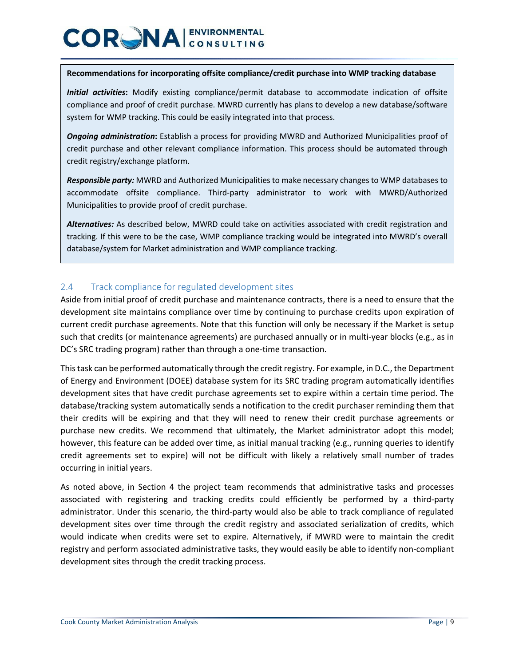#### **Recommendations for incorporating offsite compliance/credit purchase into WMP tracking database**

*Initial activities***:** Modify existing compliance/permit database to accommodate indication of offsite compliance and proof of credit purchase. MWRD currently has plans to develop a new database/software system for WMP tracking. This could be easily integrated into that process.

*Ongoing administration***:** Establish a process for providing MWRD and Authorized Municipalities proof of credit purchase and other relevant compliance information. This process should be automated through credit registry/exchange platform.

*Responsible party:* MWRD and Authorized Municipalities to make necessary changes to WMP databases to accommodate offsite compliance. Third-party administrator to work with MWRD/Authorized Municipalities to provide proof of credit purchase.

*Alternatives:* As described below, MWRD could take on activities associated with credit registration and tracking. If this were to be the case, WMP compliance tracking would be integrated into MWRD's overall database/system for Market administration and WMP compliance tracking.

#### 2.4 Track compliance for regulated development sites

Aside from initial proof of credit purchase and maintenance contracts, there is a need to ensure that the development site maintains compliance over time by continuing to purchase credits upon expiration of current credit purchase agreements. Note that this function will only be necessary if the Market is setup such that credits (or maintenance agreements) are purchased annually or in multi-year blocks (e.g., as in DC's SRC trading program) rather than through a one-time transaction.

This task can be performed automatically through the credit registry. For example, in D.C., the Department of Energy and Environment (DOEE) database system for its SRC trading program automatically identifies development sites that have credit purchase agreements set to expire within a certain time period. The database/tracking system automatically sends a notification to the credit purchaser reminding them that their credits will be expiring and that they will need to renew their credit purchase agreements or purchase new credits. We recommend that ultimately, the Market administrator adopt this model; however, this feature can be added over time, as initial manual tracking (e.g., running queries to identify credit agreements set to expire) will not be difficult with likely a relatively small number of trades occurring in initial years.

As noted above, in Section 4 the project team recommends that administrative tasks and processes associated with registering and tracking credits could efficiently be performed by a third-party administrator. Under this scenario, the third-party would also be able to track compliance of regulated development sites over time through the credit registry and associated serialization of credits, which would indicate when credits were set to expire. Alternatively, if MWRD were to maintain the credit registry and perform associated administrative tasks, they would easily be able to identify non-compliant development sites through the credit tracking process.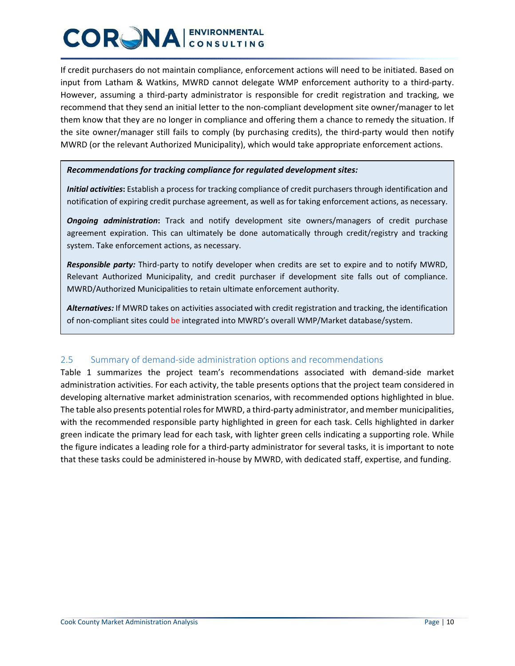If credit purchasers do not maintain compliance, enforcement actions will need to be initiated. Based on input from Latham & Watkins, MWRD cannot delegate WMP enforcement authority to a third-party. However, assuming a third-party administrator is responsible for credit registration and tracking, we recommend that they send an initial letter to the non-compliant development site owner/manager to let them know that they are no longer in compliance and offering them a chance to remedy the situation. If the site owner/manager still fails to comply (by purchasing credits), the third-party would then notify MWRD (or the relevant Authorized Municipality), which would take appropriate enforcement actions.

#### *Recommendations for tracking compliance for regulated development sites:*

*Initial activities***:** Establish a process for tracking compliance of credit purchasers through identification and notification of expiring credit purchase agreement, as well as for taking enforcement actions, as necessary.

*Ongoing administration***:** Track and notify development site owners/managers of credit purchase agreement expiration. This can ultimately be done automatically through credit/registry and tracking system. Take enforcement actions, as necessary.

*Responsible party:* Third-party to notify developer when credits are set to expire and to notify MWRD, Relevant Authorized Municipality, and credit purchaser if development site falls out of compliance. MWRD/Authorized Municipalities to retain ultimate enforcement authority.

*Alternatives:* If MWRD takes on activities associated with credit registration and tracking, the identification of non-compliant sites could be integrated into MWRD's overall WMP/Market database/system.

#### 2.5 Summary of demand-side administration options and recommendations

Table 1 summarizes the project team's recommendations associated with demand-side market administration activities. For each activity, the table presents options that the project team considered in developing alternative market administration scenarios, with recommended options highlighted in blue. The table also presents potential rolesfor MWRD, a third-party administrator, and member municipalities, with the recommended responsible party highlighted in green for each task. Cells highlighted in darker green indicate the primary lead for each task, with lighter green cells indicating a supporting role. While the figure indicates a leading role for a third-party administrator for several tasks, it is important to note that these tasks could be administered in-house by MWRD, with dedicated staff, expertise, and funding.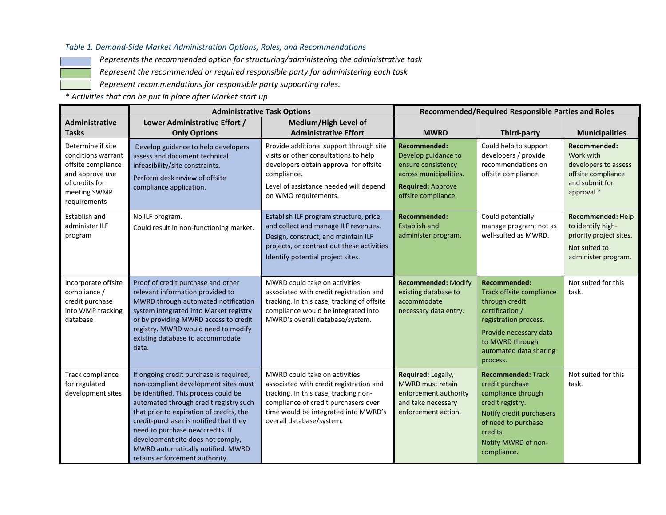#### *Table 1. Demand-Side Market Administration Options, Roles, and Recommendations*

*Represents the recommended option for structuring/administering the administrative task*

*Represent the recommended or required responsible party for administering each task*

*Represent recommendations for responsible party supporting roles.*

*\* Activities that can be put in place after Market start up*

|                                                                                                                                    | <b>Administrative Task Options</b>                                                                                                                                                                                                                                                                                                                                                                      |                                                                                                                                                                                                                               | <b>Recommended/Required Responsible Parties and Roles</b>                                                                                     |                                                                                                                                                                                                         |                                                                                                           |
|------------------------------------------------------------------------------------------------------------------------------------|---------------------------------------------------------------------------------------------------------------------------------------------------------------------------------------------------------------------------------------------------------------------------------------------------------------------------------------------------------------------------------------------------------|-------------------------------------------------------------------------------------------------------------------------------------------------------------------------------------------------------------------------------|-----------------------------------------------------------------------------------------------------------------------------------------------|---------------------------------------------------------------------------------------------------------------------------------------------------------------------------------------------------------|-----------------------------------------------------------------------------------------------------------|
| <b>Administrative</b><br><b>Tasks</b>                                                                                              | Lower Administrative Effort /<br><b>Only Options</b>                                                                                                                                                                                                                                                                                                                                                    | Medium/High Level of<br><b>Administrative Effort</b>                                                                                                                                                                          | <b>MWRD</b>                                                                                                                                   | Third-party                                                                                                                                                                                             | <b>Municipalities</b>                                                                                     |
| Determine if site<br>conditions warrant<br>offsite compliance<br>and approve use<br>of credits for<br>meeting SWMP<br>requirements | Develop guidance to help developers<br>assess and document technical<br>infeasibility/site constraints.<br>Perform desk review of offsite<br>compliance application.                                                                                                                                                                                                                                    | Provide additional support through site<br>visits or other consultations to help<br>developers obtain approval for offsite<br>compliance.<br>Level of assistance needed will depend<br>on WMO requirements.                   | <b>Recommended:</b><br>Develop guidance to<br>ensure consistency<br>across municipalities.<br><b>Required: Approve</b><br>offsite compliance. | Could help to support<br>developers / provide<br>recommendations on<br>offsite compliance.                                                                                                              | Recommended:<br>Work with<br>developers to assess<br>offsite compliance<br>and submit for<br>approval.*   |
| Establish and<br>administer ILF<br>program                                                                                         | No ILF program.<br>Could result in non-functioning market.                                                                                                                                                                                                                                                                                                                                              | Establish ILF program structure, price,<br>and collect and manage ILF revenues.<br>Design, construct, and maintain ILF<br>projects, or contract out these activities<br>Identify potential project sites.                     | <b>Recommended:</b><br><b>Establish and</b><br>administer program.                                                                            | Could potentially<br>manage program; not as<br>well-suited as MWRD.                                                                                                                                     | Recommended: Help<br>to identify high-<br>priority project sites.<br>Not suited to<br>administer program. |
| Incorporate offsite<br>compliance /<br>credit purchase<br>into WMP tracking<br>database                                            | Proof of credit purchase and other<br>relevant information provided to<br>MWRD through automated notification<br>system integrated into Market registry<br>or by providing MWRD access to credit<br>registry. MWRD would need to modify<br>existing database to accommodate<br>data.                                                                                                                    | MWRD could take on activities<br>associated with credit registration and<br>tracking. In this case, tracking of offsite<br>compliance would be integrated into<br>MWRD's overall database/system.                             | Recommended: Modify<br>existing database to<br>accommodate<br>necessary data entry.                                                           | <b>Recommended:</b><br><b>Track offsite compliance</b><br>through credit<br>certification /<br>registration process.<br>Provide necessary data<br>to MWRD through<br>automated data sharing<br>process. | Not suited for this<br>task.                                                                              |
| Track compliance<br>for regulated<br>development sites                                                                             | If ongoing credit purchase is required,<br>non-compliant development sites must<br>be identified. This process could be<br>automated through credit registry such<br>that prior to expiration of credits, the<br>credit-purchaser is notified that they<br>need to purchase new credits. If<br>development site does not comply,<br>MWRD automatically notified. MWRD<br>retains enforcement authority. | MWRD could take on activities<br>associated with credit registration and<br>tracking. In this case, tracking non-<br>compliance of credit purchasers over<br>time would be integrated into MWRD's<br>overall database/system. | Required: Legally,<br>MWRD must retain<br>enforcement authority<br>and take necessary<br>enforcement action.                                  | <b>Recommended: Track</b><br>credit purchase<br>compliance through<br>credit registry.<br>Notify credit purchasers<br>of need to purchase<br>credits.<br>Notify MWRD of non-<br>compliance.             | Not suited for this<br>task.                                                                              |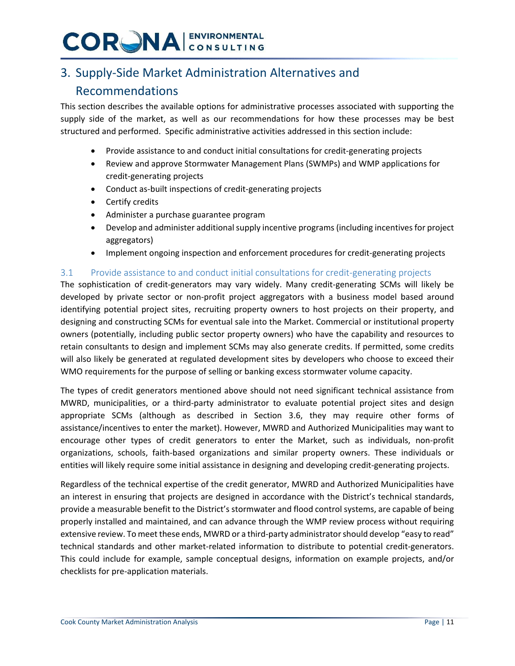### 3. Supply-Side Market Administration Alternatives and

### Recommendations

This section describes the available options for administrative processes associated with supporting the supply side of the market, as well as our recommendations for how these processes may be best structured and performed. Specific administrative activities addressed in this section include:

- Provide assistance to and conduct initial consultations for credit-generating projects
- Review and approve Stormwater Management Plans (SWMPs) and WMP applications for credit-generating projects
- Conduct as-built inspections of credit-generating projects
- Certify credits
- Administer a purchase guarantee program
- Develop and administer additional supply incentive programs (including incentives for project aggregators)
- Implement ongoing inspection and enforcement procedures for credit-generating projects

#### 3.1 Provide assistance to and conduct initial consultations for credit-generating projects

The sophistication of credit-generators may vary widely. Many credit-generating SCMs will likely be developed by private sector or non-profit project aggregators with a business model based around identifying potential project sites, recruiting property owners to host projects on their property, and designing and constructing SCMs for eventual sale into the Market. Commercial or institutional property owners (potentially, including public sector property owners) who have the capability and resources to retain consultants to design and implement SCMs may also generate credits. If permitted, some credits will also likely be generated at regulated development sites by developers who choose to exceed their WMO requirements for the purpose of selling or banking excess stormwater volume capacity.

The types of credit generators mentioned above should not need significant technical assistance from MWRD, municipalities, or a third-party administrator to evaluate potential project sites and design appropriate SCMs (although as described in Section 3.6, they may require other forms of assistance/incentives to enter the market). However, MWRD and Authorized Municipalities may want to encourage other types of credit generators to enter the Market, such as individuals, non-profit organizations, schools, faith-based organizations and similar property owners. These individuals or entities will likely require some initial assistance in designing and developing credit-generating projects.

Regardless of the technical expertise of the credit generator, MWRD and Authorized Municipalities have an interest in ensuring that projects are designed in accordance with the District's technical standards, provide a measurable benefit to the District's stormwater and flood control systems, are capable of being properly installed and maintained, and can advance through the WMP review process without requiring extensive review. To meet these ends, MWRD or a third-party administrator should develop "easy to read" technical standards and other market-related information to distribute to potential credit-generators. This could include for example, sample conceptual designs, information on example projects, and/or checklists for pre-application materials.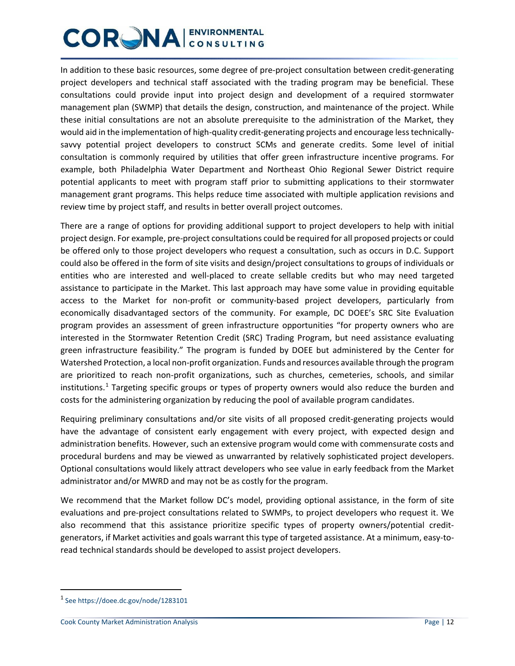In addition to these basic resources, some degree of pre-project consultation between credit-generating project developers and technical staff associated with the trading program may be beneficial. These consultations could provide input into project design and development of a required stormwater management plan (SWMP) that details the design, construction, and maintenance of the project. While these initial consultations are not an absolute prerequisite to the administration of the Market, they would aid in the implementation of high-quality credit-generating projects and encourage less technicallysavvy potential project developers to construct SCMs and generate credits. Some level of initial consultation is commonly required by utilities that offer green infrastructure incentive programs. For example, both Philadelphia Water Department and Northeast Ohio Regional Sewer District require potential applicants to meet with program staff prior to submitting applications to their stormwater management grant programs. This helps reduce time associated with multiple application revisions and review time by project staff, and results in better overall project outcomes.

There are a range of options for providing additional support to project developers to help with initial project design. For example, pre-project consultations could be required for all proposed projects or could be offered only to those project developers who request a consultation, such as occurs in D.C. Support could also be offered in the form of site visits and design/project consultations to groups of individuals or entities who are interested and well-placed to create sellable credits but who may need targeted assistance to participate in the Market. This last approach may have some value in providing equitable access to the Market for non-profit or community-based project developers, particularly from economically disadvantaged sectors of the community. For example, DC DOEE's SRC Site Evaluation program provides an assessment of green infrastructure opportunities "for property owners who are interested in the Stormwater Retention Credit (SRC) Trading Program, but need assistance evaluating green infrastructure feasibility." The program is funded by DOEE but administered by the Center for Watershed Protection, a local non-profit organization. Funds and resources available through the program are prioritized to reach non-profit organizations, such as churches, cemeteries, schools, and similar institutions.<sup>[1](#page-11-0)</sup> Targeting specific groups or types of property owners would also reduce the burden and costs for the administering organization by reducing the pool of available program candidates.

Requiring preliminary consultations and/or site visits of all proposed credit-generating projects would have the advantage of consistent early engagement with every project, with expected design and administration benefits. However, such an extensive program would come with commensurate costs and procedural burdens and may be viewed as unwarranted by relatively sophisticated project developers. Optional consultations would likely attract developers who see value in early feedback from the Market administrator and/or MWRD and may not be as costly for the program.

We recommend that the Market follow DC's model, providing optional assistance, in the form of site evaluations and pre-project consultations related to SWMPs, to project developers who request it. We also recommend that this assistance prioritize specific types of property owners/potential creditgenerators, if Market activities and goals warrant this type of targeted assistance. At a minimum, easy-toread technical standards should be developed to assist project developers.

<span id="page-11-0"></span><sup>&</sup>lt;sup>1</sup> Se[e https://doee.dc.gov/node/1283101](https://doee.dc.gov/node/1283101)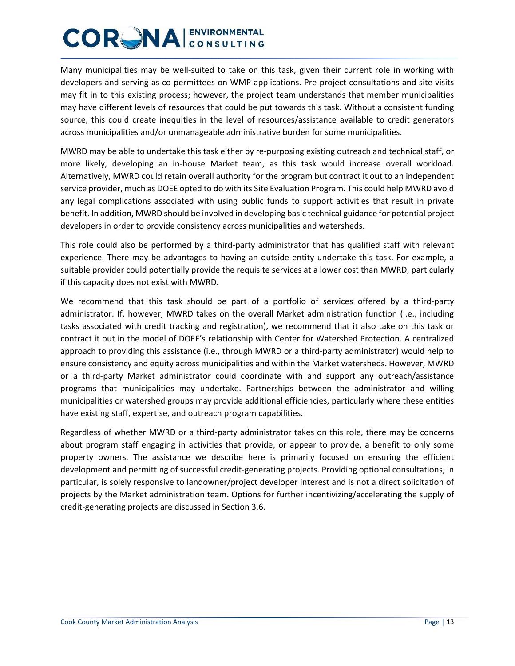Many municipalities may be well-suited to take on this task, given their current role in working with developers and serving as co-permittees on WMP applications. Pre-project consultations and site visits may fit in to this existing process; however, the project team understands that member municipalities may have different levels of resources that could be put towards this task. Without a consistent funding source, this could create inequities in the level of resources/assistance available to credit generators across municipalities and/or unmanageable administrative burden for some municipalities.

MWRD may be able to undertake this task either by re-purposing existing outreach and technical staff, or more likely, developing an in-house Market team, as this task would increase overall workload. Alternatively, MWRD could retain overall authority for the program but contract it out to an independent service provider, much as DOEE opted to do with its Site Evaluation Program. This could help MWRD avoid any legal complications associated with using public funds to support activities that result in private benefit. In addition, MWRD should be involved in developing basic technical guidance for potential project developers in order to provide consistency across municipalities and watersheds.

This role could also be performed by a third-party administrator that has qualified staff with relevant experience. There may be advantages to having an outside entity undertake this task. For example, a suitable provider could potentially provide the requisite services at a lower cost than MWRD, particularly if this capacity does not exist with MWRD.

We recommend that this task should be part of a portfolio of services offered by a third-party administrator. If, however, MWRD takes on the overall Market administration function (i.e., including tasks associated with credit tracking and registration), we recommend that it also take on this task or contract it out in the model of DOEE's relationship with Center for Watershed Protection. A centralized approach to providing this assistance (i.e., through MWRD or a third-party administrator) would help to ensure consistency and equity across municipalities and within the Market watersheds. However, MWRD or a third-party Market administrator could coordinate with and support any outreach/assistance programs that municipalities may undertake. Partnerships between the administrator and willing municipalities or watershed groups may provide additional efficiencies, particularly where these entities have existing staff, expertise, and outreach program capabilities.

Regardless of whether MWRD or a third-party administrator takes on this role, there may be concerns about program staff engaging in activities that provide, or appear to provide, a benefit to only some property owners. The assistance we describe here is primarily focused on ensuring the efficient development and permitting of successful credit-generating projects. Providing optional consultations, in particular, is solely responsive to landowner/project developer interest and is not a direct solicitation of projects by the Market administration team. Options for further incentivizing/accelerating the supply of credit-generating projects are discussed in Section 3.6.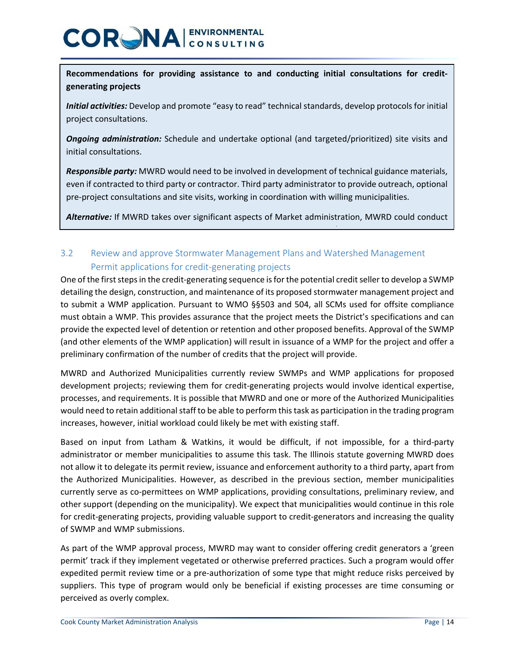**Recommendations for providing assistance to and conducting initial consultations for creditgenerating projects**

*Initial activities:* Develop and promote "easy to read" technical standards, develop protocols for initial project consultations.

*Ongoing administration:* Schedule and undertake optional (and targeted/prioritized) site visits and initial consultations.

*Responsible party:* MWRD would need to be involved in development of technical guidance materials, even if contracted to third party or contractor. Third party administrator to provide outreach, optional pre-project consultations and site visits, working in coordination with willing municipalities.

*Alternative:* If MWRD takes over significant aspects of Market administration, MWRD could conduct

### 3.2 Review and approve Stormwater Management Plans and Watershed Management Permit applications for credit-generating projects

/

One of the first stepsin the credit-generating sequence isfor the potential credit seller to develop a SWMP detailing the design, construction, and maintenance of its proposed stormwater management project and to submit a WMP application. Pursuant to WMO §§503 and 504, all SCMs used for offsite compliance must obtain a WMP. This provides assurance that the project meets the District's specifications and can provide the expected level of detention or retention and other proposed benefits. Approval of the SWMP (and other elements of the WMP application) will result in issuance of a WMP for the project and offer a preliminary confirmation of the number of credits that the project will provide.

MWRD and Authorized Municipalities currently review SWMPs and WMP applications for proposed development projects; reviewing them for credit-generating projects would involve identical expertise, processes, and requirements. It is possible that MWRD and one or more of the Authorized Municipalities would need to retain additional staff to be able to perform this task as participation in the trading program increases, however, initial workload could likely be met with existing staff.

Based on input from Latham & Watkins, it would be difficult, if not impossible, for a third-party administrator or member municipalities to assume this task. The Illinois statute governing MWRD does not allow it to delegate its permit review, issuance and enforcement authority to a third party, apart from the Authorized Municipalities. However, as described in the previous section, member municipalities currently serve as co-permittees on WMP applications, providing consultations, preliminary review, and other support (depending on the municipality). We expect that municipalities would continue in this role for credit-generating projects, providing valuable support to credit-generators and increasing the quality of SWMP and WMP submissions.

As part of the WMP approval process, MWRD may want to consider offering credit generators a 'green permit' track if they implement vegetated or otherwise preferred practices. Such a program would offer expedited permit review time or a pre-authorization of some type that might reduce risks perceived by suppliers. This type of program would only be beneficial if existing processes are time consuming or perceived as overly complex.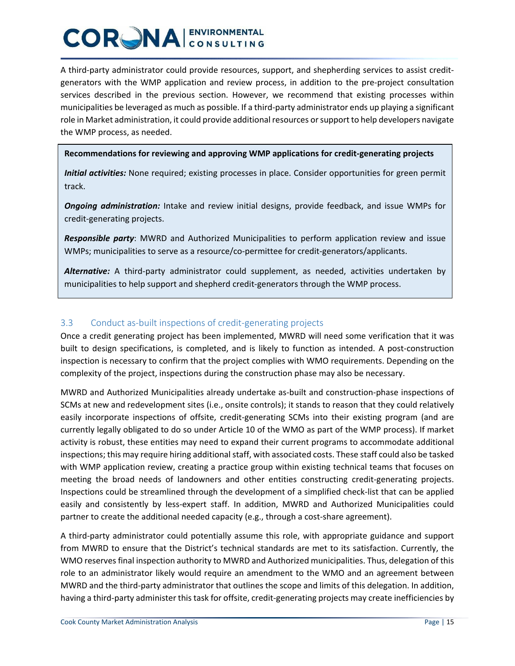A third-party administrator could provide resources, support, and shepherding services to assist creditgenerators with the WMP application and review process, in addition to the pre-project consultation services described in the previous section. However, we recommend that existing processes within municipalities be leveraged as much as possible. If a third-party administrator ends up playing a significant role in Market administration, it could provide additional resources or support to help developers navigate the WMP process, as needed.

**Recommendations for reviewing and approving WMP applications for credit-generating projects**

*Initial activities:* None required; existing processes in place. Consider opportunities for green permit track.

*Ongoing administration:* Intake and review initial designs, provide feedback, and issue WMPs for credit-generating projects.

*Responsible party*: MWRD and Authorized Municipalities to perform application review and issue WMPs; municipalities to serve as a resource/co-permittee for credit-generators/applicants.

*Alternative:* A third-party administrator could supplement, as needed, activities undertaken by municipalities to help support and shepherd credit-generators through the WMP process.

#### 3.3 Conduct as-built inspections of credit-generating projects

Once a credit generating project has been implemented, MWRD will need some verification that it was built to design specifications, is completed, and is likely to function as intended. A post-construction inspection is necessary to confirm that the project complies with WMO requirements. Depending on the complexity of the project, inspections during the construction phase may also be necessary.

MWRD and Authorized Municipalities already undertake as-built and construction-phase inspections of SCMs at new and redevelopment sites (i.e., onsite controls); it stands to reason that they could relatively easily incorporate inspections of offsite, credit-generating SCMs into their existing program (and are currently legally obligated to do so under Article 10 of the WMO as part of the WMP process). If market activity is robust, these entities may need to expand their current programs to accommodate additional inspections; this may require hiring additional staff, with associated costs. These staff could also be tasked with WMP application review, creating a practice group within existing technical teams that focuses on meeting the broad needs of landowners and other entities constructing credit-generating projects. Inspections could be streamlined through the development of a simplified check-list that can be applied easily and consistently by less-expert staff. In addition, MWRD and Authorized Municipalities could partner to create the additional needed capacity (e.g., through a cost-share agreement).

A third-party administrator could potentially assume this role, with appropriate guidance and support from MWRD to ensure that the District's technical standards are met to its satisfaction. Currently, the WMO reserves final inspection authority to MWRD and Authorized municipalities. Thus, delegation of this role to an administrator likely would require an amendment to the WMO and an agreement between MWRD and the third-party administrator that outlines the scope and limits of this delegation. In addition, having a third-party administer this task for offsite, credit-generating projects may create inefficiencies by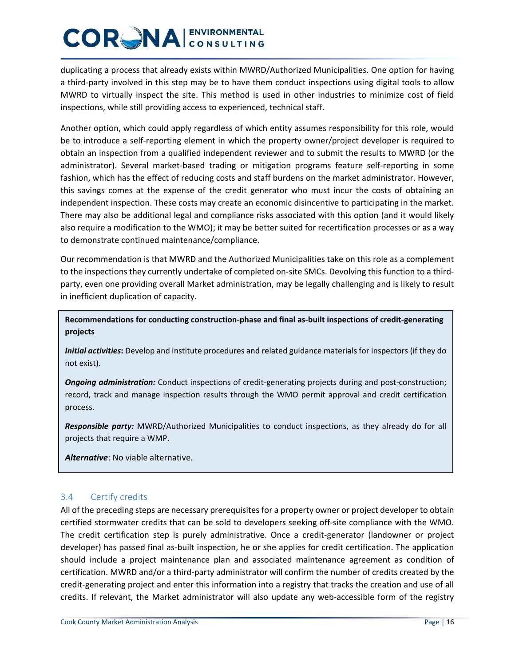duplicating a process that already exists within MWRD/Authorized Municipalities. One option for having a third-party involved in this step may be to have them conduct inspections using digital tools to allow MWRD to virtually inspect the site. This method is used in other industries to minimize cost of field inspections, while still providing access to experienced, technical staff.

Another option, which could apply regardless of which entity assumes responsibility for this role, would be to introduce a self-reporting element in which the property owner/project developer is required to obtain an inspection from a qualified independent reviewer and to submit the results to MWRD (or the administrator). Several market-based trading or mitigation programs feature self-reporting in some fashion, which has the effect of reducing costs and staff burdens on the market administrator. However, this savings comes at the expense of the credit generator who must incur the costs of obtaining an independent inspection. These costs may create an economic disincentive to participating in the market. There may also be additional legal and compliance risks associated with this option (and it would likely also require a modification to the WMO); it may be better suited for recertification processes or as a way to demonstrate continued maintenance/compliance.

Our recommendation is that MWRD and the Authorized Municipalities take on this role as a complement to the inspections they currently undertake of completed on-site SMCs. Devolving this function to a thirdparty, even one providing overall Market administration, may be legally challenging and is likely to result in inefficient duplication of capacity.

**Recommendations for conducting construction-phase and final as-built inspections of credit-generating projects**

*Initial activities***:** Develop and institute procedures and related guidance materials for inspectors (if they do not exist).

*Ongoing administration:* Conduct inspections of credit-generating projects during and post-construction; record, track and manage inspection results through the WMO permit approval and credit certification process.

*Responsible party:* MWRD/Authorized Municipalities to conduct inspections, as they already do for all projects that require a WMP.

*Alternative*: No viable alternative.

#### 3.4 Certify credits

All of the preceding steps are necessary prerequisites for a property owner or project developer to obtain certified stormwater credits that can be sold to developers seeking off-site compliance with the WMO. The credit certification step is purely administrative. Once a credit-generator (landowner or project developer) has passed final as-built inspection, he or she applies for credit certification. The application should include a project maintenance plan and associated maintenance agreement as condition of certification. MWRD and/or a third-party administrator will confirm the number of credits created by the credit-generating project and enter this information into a registry that tracks the creation and use of all credits. If relevant, the Market administrator will also update any web-accessible form of the registry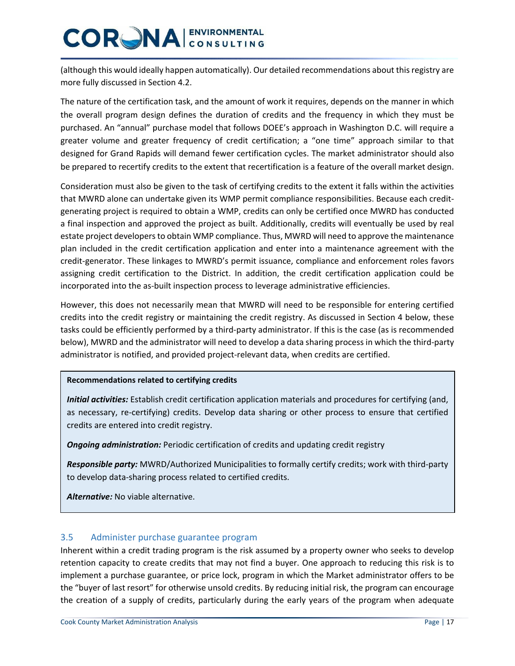(although this would ideally happen automatically). Our detailed recommendations about this registry are more fully discussed in Section 4.2.

The nature of the certification task, and the amount of work it requires, depends on the manner in which the overall program design defines the duration of credits and the frequency in which they must be purchased. An "annual" purchase model that follows DOEE's approach in Washington D.C. will require a greater volume and greater frequency of credit certification; a "one time" approach similar to that designed for Grand Rapids will demand fewer certification cycles. The market administrator should also be prepared to recertify credits to the extent that recertification is a feature of the overall market design.

Consideration must also be given to the task of certifying credits to the extent it falls within the activities that MWRD alone can undertake given its WMP permit compliance responsibilities. Because each creditgenerating project is required to obtain a WMP, credits can only be certified once MWRD has conducted a final inspection and approved the project as built. Additionally, credits will eventually be used by real estate project developers to obtain WMP compliance. Thus, MWRD will need to approve the maintenance plan included in the credit certification application and enter into a maintenance agreement with the credit-generator. These linkages to MWRD's permit issuance, compliance and enforcement roles favors assigning credit certification to the District. In addition, the credit certification application could be incorporated into the as-built inspection process to leverage administrative efficiencies.

However, this does not necessarily mean that MWRD will need to be responsible for entering certified credits into the credit registry or maintaining the credit registry. As discussed in Section 4 below, these tasks could be efficiently performed by a third-party administrator. If this is the case (as is recommended below), MWRD and the administrator will need to develop a data sharing process in which the third-party administrator is notified, and provided project-relevant data, when credits are certified.

#### **Recommendations related to certifying credits**

*Initial activities:* Establish credit certification application materials and procedures for certifying (and, as necessary, re-certifying) credits. Develop data sharing or other process to ensure that certified credits are entered into credit registry.

*Ongoing administration:* Periodic certification of credits and updating credit registry

*Responsible party:* MWRD/Authorized Municipalities to formally certify credits; work with third-party to develop data-sharing process related to certified credits.

*Alternative:* No viable alternative.

#### 3.5 Administer purchase guarantee program

Inherent within a credit trading program is the risk assumed by a property owner who seeks to develop retention capacity to create credits that may not find a buyer. One approach to reducing this risk is to implement a purchase guarantee, or price lock, program in which the Market administrator offers to be the "buyer of last resort" for otherwise unsold credits. By reducing initial risk, the program can encourage the creation of a supply of credits, particularly during the early years of the program when adequate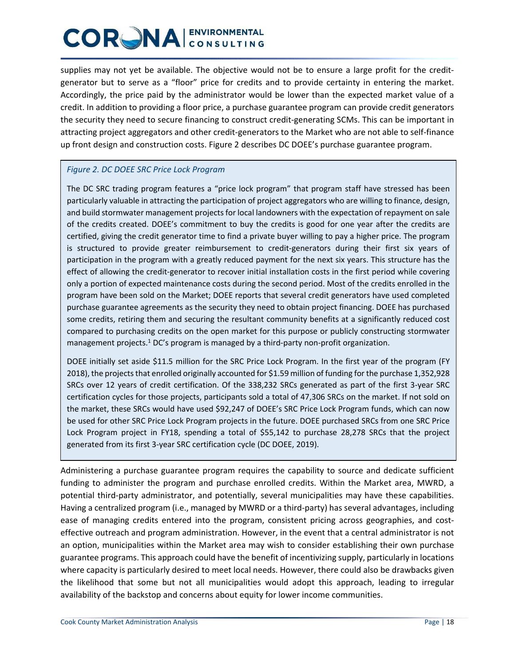supplies may not yet be available. The objective would not be to ensure a large profit for the creditgenerator but to serve as a "floor" price for credits and to provide certainty in entering the market. Accordingly, the price paid by the administrator would be lower than the expected market value of a credit. In addition to providing a floor price, a purchase guarantee program can provide credit generators the security they need to secure financing to construct credit-generating SCMs. This can be important in attracting project aggregators and other credit-generators to the Market who are not able to self-finance up front design and construction costs. Figure 2 describes DC DOEE's purchase guarantee program.

#### *Figure 2. DC DOEE SRC Price Lock Program*

The DC SRC trading program features a "price lock program" that program staff have stressed has been particularly valuable in attracting the participation of project aggregators who are willing to finance, design, and build stormwater management projects for local landowners with the expectation of repayment on sale of the credits created. DOEE's commitment to buy the credits is good for one year after the credits are certified, giving the credit generator time to find a private buyer willing to pay a higher price. The program is structured to provide greater reimbursement to credit-generators during their first six years of participation in the program with a greatly reduced payment for the next six years. This structure has the effect of allowing the credit-generator to recover initial installation costs in the first period while covering only a portion of expected maintenance costs during the second period. Most of the credits enrolled in the program have been sold on the Market; DOEE reports that several credit generators have used completed purchase guarantee agreements as the security they need to obtain project financing. DOEE has purchased some credits, retiring them and securing the resultant community benefits at a significantly reduced cost compared to purchasing credits on the open market for this purpose or publicly constructing stormwater management projects.<sup>1</sup> DC's program is managed by a third-party non-profit organization.

DOEE initially set aside \$11.5 million for the SRC Price Lock Program. In the first year of the program (FY 2018), the projects that enrolled originally accounted for \$1.59 million of funding for the purchase 1,352,928 SRCs over 12 years of credit certification. Of the 338,232 SRCs generated as part of the first 3-year SRC certification cycles for those projects, participants sold a total of 47,306 SRCs on the market. If not sold on the market, these SRCs would have used \$92,247 of DOEE's SRC Price Lock Program funds, which can now be used for other SRC Price Lock Program projects in the future. DOEE purchased SRCs from one SRC Price Lock Program project in FY18, spending a total of \$55,142 to purchase 28,278 SRCs that the project generated from its first 3-year SRC certification cycle (DC DOEE, 2019).

Administering a purchase guarantee program requires the capability to source and dedicate sufficient funding to administer the program and purchase enrolled credits. Within the Market area, MWRD, a potential third-party administrator, and potentially, several municipalities may have these capabilities. Having a centralized program (i.e., managed by MWRD or a third-party) has several advantages, including ease of managing credits entered into the program, consistent pricing across geographies, and costeffective outreach and program administration. However, in the event that a central administrator is not an option, municipalities within the Market area may wish to consider establishing their own purchase guarantee programs. This approach could have the benefit of incentivizing supply, particularly in locations where capacity is particularly desired to meet local needs. However, there could also be drawbacks given the likelihood that some but not all municipalities would adopt this approach, leading to irregular availability of the backstop and concerns about equity for lower income communities.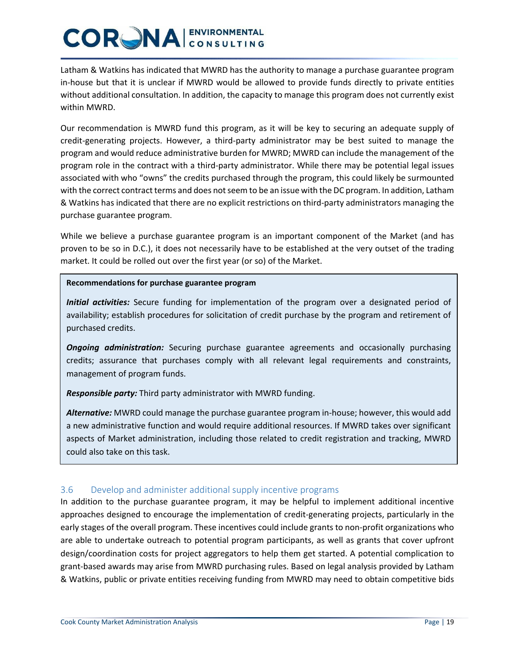Latham & Watkins has indicated that MWRD has the authority to manage a purchase guarantee program in-house but that it is unclear if MWRD would be allowed to provide funds directly to private entities without additional consultation. In addition, the capacity to manage this program does not currently exist within MWRD.

Our recommendation is MWRD fund this program, as it will be key to securing an adequate supply of credit-generating projects. However, a third-party administrator may be best suited to manage the program and would reduce administrative burden for MWRD; MWRD can include the management of the program role in the contract with a third-party administrator. While there may be potential legal issues associated with who "owns" the credits purchased through the program, this could likely be surmounted with the correct contract terms and does not seem to be an issue with the DC program. In addition, Latham & Watkins has indicated that there are no explicit restrictions on third-party administrators managing the purchase guarantee program.

While we believe a purchase guarantee program is an important component of the Market (and has proven to be so in D.C.), it does not necessarily have to be established at the very outset of the trading market. It could be rolled out over the first year (or so) of the Market.

#### **Recommendations for purchase guarantee program**

*Initial activities:* Secure funding for implementation of the program over a designated period of availability; establish procedures for solicitation of credit purchase by the program and retirement of purchased credits.

*Ongoing administration:* Securing purchase guarantee agreements and occasionally purchasing credits; assurance that purchases comply with all relevant legal requirements and constraints, management of program funds.

*Responsible party:* Third party administrator with MWRD funding.

*Alternative:* MWRD could manage the purchase guarantee program in-house; however, this would add a new administrative function and would require additional resources. If MWRD takes over significant aspects of Market administration, including those related to credit registration and tracking, MWRD could also take on this task.

#### 3.6 Develop and administer additional supply incentive programs

In addition to the purchase guarantee program, it may be helpful to implement additional incentive approaches designed to encourage the implementation of credit-generating projects, particularly in the early stages of the overall program. These incentives could include grants to non-profit organizations who are able to undertake outreach to potential program participants, as well as grants that cover upfront design/coordination costs for project aggregators to help them get started. A potential complication to grant-based awards may arise from MWRD purchasing rules. Based on legal analysis provided by Latham & Watkins, public or private entities receiving funding from MWRD may need to obtain competitive bids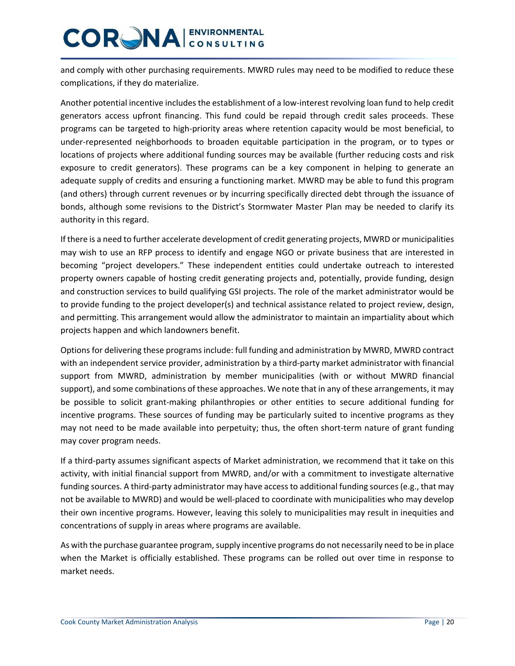and comply with other purchasing requirements. MWRD rules may need to be modified to reduce these complications, if they do materialize.

Another potential incentive includes the establishment of a low-interest revolving loan fund to help credit generators access upfront financing. This fund could be repaid through credit sales proceeds. These programs can be targeted to high-priority areas where retention capacity would be most beneficial, to under-represented neighborhoods to broaden equitable participation in the program, or to types or locations of projects where additional funding sources may be available (further reducing costs and risk exposure to credit generators). These programs can be a key component in helping to generate an adequate supply of credits and ensuring a functioning market. MWRD may be able to fund this program (and others) through current revenues or by incurring specifically directed debt through the issuance of bonds, although some revisions to the District's Stormwater Master Plan may be needed to clarify its authority in this regard.

If there is a need to further accelerate development of credit generating projects, MWRD or municipalities may wish to use an RFP process to identify and engage NGO or private business that are interested in becoming "project developers." These independent entities could undertake outreach to interested property owners capable of hosting credit generating projects and, potentially, provide funding, design and construction services to build qualifying GSI projects. The role of the market administrator would be to provide funding to the project developer(s) and technical assistance related to project review, design, and permitting. This arrangement would allow the administrator to maintain an impartiality about which projects happen and which landowners benefit.

Options for delivering these programs include: full funding and administration by MWRD, MWRD contract with an independent service provider, administration by a third-party market administrator with financial support from MWRD, administration by member municipalities (with or without MWRD financial support), and some combinations of these approaches. We note that in any of these arrangements, it may be possible to solicit grant-making philanthropies or other entities to secure additional funding for incentive programs. These sources of funding may be particularly suited to incentive programs as they may not need to be made available into perpetuity; thus, the often short-term nature of grant funding may cover program needs.

If a third-party assumes significant aspects of Market administration, we recommend that it take on this activity, with initial financial support from MWRD, and/or with a commitment to investigate alternative funding sources. A third-party administrator may have access to additional funding sources(e.g., that may not be available to MWRD) and would be well-placed to coordinate with municipalities who may develop their own incentive programs. However, leaving this solely to municipalities may result in inequities and concentrations of supply in areas where programs are available.

As with the purchase guarantee program, supply incentive programs do not necessarily need to be in place when the Market is officially established. These programs can be rolled out over time in response to market needs.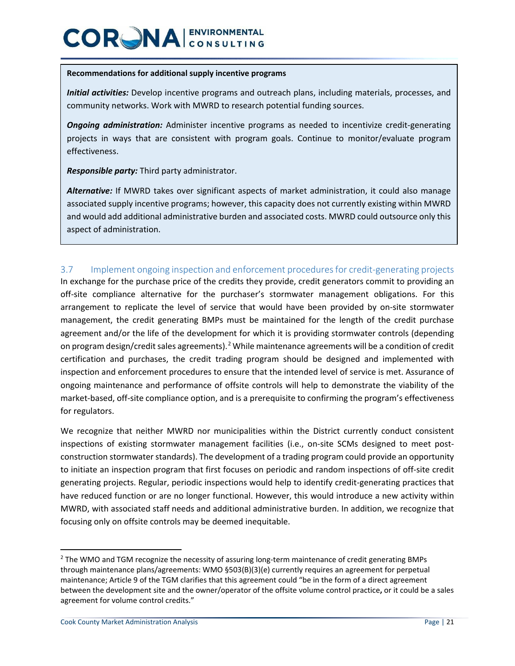#### **Recommendations for additional supply incentive programs**

*Initial activities:* Develop incentive programs and outreach plans, including materials, processes, and community networks. Work with MWRD to research potential funding sources.

*Ongoing administration:* Administer incentive programs as needed to incentivize credit-generating projects in ways that are consistent with program goals. Continue to monitor/evaluate program effectiveness.

*Responsible party:* Third party administrator.

Alternative: If MWRD takes over significant aspects of market administration, it could also manage associated supply incentive programs; however, this capacity does not currently existing within MWRD and would add additional administrative burden and associated costs. MWRD could outsource only this aspect of administration.

#### 3.7 Implement ongoing inspection and enforcement procedures for credit-generating projects

In exchange for the purchase price of the credits they provide, credit generators commit to providing an off-site compliance alternative for the purchaser's stormwater management obligations. For this arrangement to replicate the level of service that would have been provided by on-site stormwater management, the credit generating BMPs must be maintained for the length of the credit purchase agreement and/or the life of the development for which it is providing stormwater controls (depending on program design/credit sales agreements).<sup>[2](#page-20-0)</sup> While maintenance agreements will be a condition of credit certification and purchases, the credit trading program should be designed and implemented with inspection and enforcement procedures to ensure that the intended level of service is met. Assurance of ongoing maintenance and performance of offsite controls will help to demonstrate the viability of the market-based, off-site compliance option, and is a prerequisite to confirming the program's effectiveness for regulators.

We recognize that neither MWRD nor municipalities within the District currently conduct consistent inspections of existing stormwater management facilities (i.e., on-site SCMs designed to meet postconstruction stormwater standards). The development of a trading program could provide an opportunity to initiate an inspection program that first focuses on periodic and random inspections of off-site credit generating projects. Regular, periodic inspections would help to identify credit-generating practices that have reduced function or are no longer functional. However, this would introduce a new activity within MWRD, with associated staff needs and additional administrative burden. In addition, we recognize that focusing only on offsite controls may be deemed inequitable.

<span id="page-20-0"></span><sup>&</sup>lt;sup>2</sup> The WMO and TGM recognize the necessity of assuring long-term maintenance of credit generating BMPs through maintenance plans/agreements: WMO §503(B)(3)(e) currently requires an agreement for perpetual maintenance; Article 9 of the TGM clarifies that this agreement could "be in the form of a direct agreement between the development site and the owner/operator of the offsite volume control practice**,** or it could be a sales agreement for volume control credits."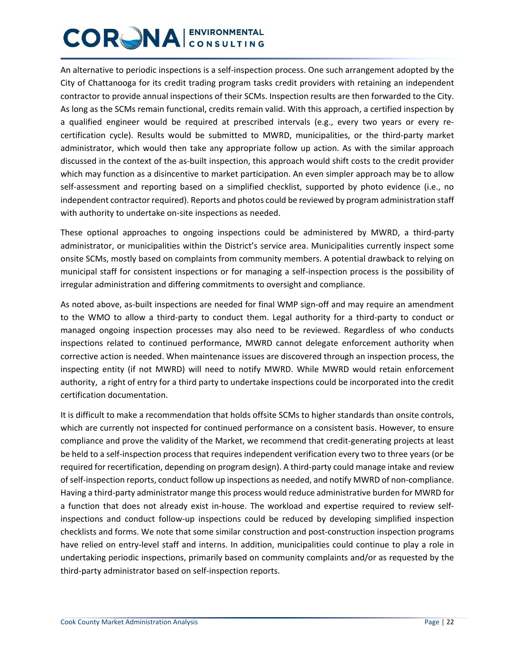An alternative to periodic inspections is a self-inspection process. One such arrangement adopted by the City of Chattanooga for its credit trading program tasks credit providers with retaining an independent contractor to provide annual inspections of their SCMs. Inspection results are then forwarded to the City. As long as the SCMs remain functional, credits remain valid. With this approach, a certified inspection by a qualified engineer would be required at prescribed intervals (e.g., every two years or every recertification cycle). Results would be submitted to MWRD, municipalities, or the third-party market administrator, which would then take any appropriate follow up action. As with the similar approach discussed in the context of the as-built inspection, this approach would shift costs to the credit provider which may function as a disincentive to market participation. An even simpler approach may be to allow self-assessment and reporting based on a simplified checklist, supported by photo evidence (i.e., no independent contractor required). Reports and photos could be reviewed by program administration staff with authority to undertake on-site inspections as needed.

These optional approaches to ongoing inspections could be administered by MWRD, a third-party administrator, or municipalities within the District's service area. Municipalities currently inspect some onsite SCMs, mostly based on complaints from community members. A potential drawback to relying on municipal staff for consistent inspections or for managing a self-inspection process is the possibility of irregular administration and differing commitments to oversight and compliance.

As noted above, as-built inspections are needed for final WMP sign-off and may require an amendment to the WMO to allow a third-party to conduct them. Legal authority for a third-party to conduct or managed ongoing inspection processes may also need to be reviewed. Regardless of who conducts inspections related to continued performance, MWRD cannot delegate enforcement authority when corrective action is needed. When maintenance issues are discovered through an inspection process, the inspecting entity (if not MWRD) will need to notify MWRD. While MWRD would retain enforcement authority, a right of entry for a third party to undertake inspections could be incorporated into the credit certification documentation.

It is difficult to make a recommendation that holds offsite SCMs to higher standards than onsite controls, which are currently not inspected for continued performance on a consistent basis. However, to ensure compliance and prove the validity of the Market, we recommend that credit-generating projects at least be held to a self-inspection process that requires independent verification every two to three years (or be required for recertification, depending on program design). A third-party could manage intake and review ofself-inspection reports, conduct follow up inspections as needed, and notify MWRD of non-compliance. Having a third-party administrator mange this process would reduce administrative burden for MWRD for a function that does not already exist in-house. The workload and expertise required to review selfinspections and conduct follow-up inspections could be reduced by developing simplified inspection checklists and forms. We note that some similar construction and post-construction inspection programs have relied on entry-level staff and interns. In addition, municipalities could continue to play a role in undertaking periodic inspections, primarily based on community complaints and/or as requested by the third-party administrator based on self-inspection reports.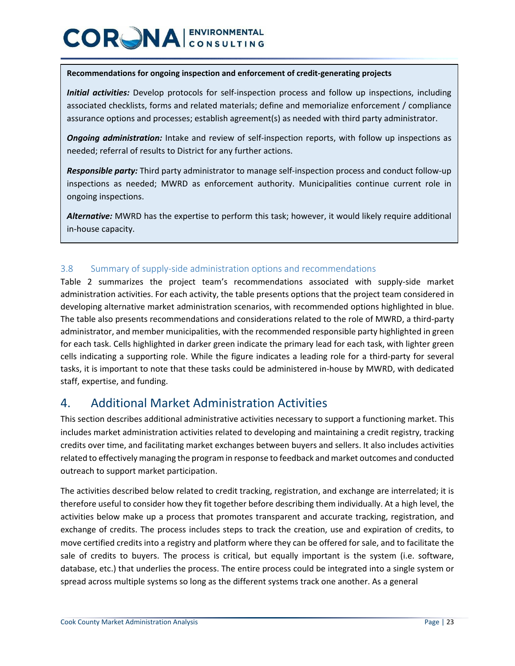#### **Recommendations for ongoing inspection and enforcement of credit-generating projects**

*Initial activities:* Develop protocols for self-inspection process and follow up inspections, including associated checklists, forms and related materials; define and memorialize enforcement / compliance assurance options and processes; establish agreement(s) as needed with third party administrator.

*Ongoing administration:* Intake and review of self-inspection reports, with follow up inspections as needed; referral of results to District for any further actions.

*Responsible party:* Third party administrator to manage self-inspection process and conduct follow-up inspections as needed; MWRD as enforcement authority. Municipalities continue current role in ongoing inspections.

*Alternative:* MWRD has the expertise to perform this task; however, it would likely require additional in-house capacity.

#### 3.8 Summary of supply-side administration options and recommendations

Table 2 summarizes the project team's recommendations associated with supply-side market administration activities. For each activity, the table presents options that the project team considered in developing alternative market administration scenarios, with recommended options highlighted in blue. The table also presents recommendations and considerations related to the role of MWRD, a third-party administrator, and member municipalities, with the recommended responsible party highlighted in green for each task. Cells highlighted in darker green indicate the primary lead for each task, with lighter green cells indicating a supporting role. While the figure indicates a leading role for a third-party for several tasks, it is important to note that these tasks could be administered in-house by MWRD, with dedicated staff, expertise, and funding.

### 4. Additional Market Administration Activities

This section describes additional administrative activities necessary to support a functioning market. This includes market administration activities related to developing and maintaining a credit registry, tracking credits over time, and facilitating market exchanges between buyers and sellers. It also includes activities related to effectively managing the program in response to feedback and market outcomes and conducted outreach to support market participation.

The activities described below related to credit tracking, registration, and exchange are interrelated; it is therefore useful to consider how they fit together before describing them individually. At a high level, the activities below make up a process that promotes transparent and accurate tracking, registration, and exchange of credits. The process includes steps to track the creation, use and expiration of credits, to move certified credits into a registry and platform where they can be offered for sale, and to facilitate the sale of credits to buyers. The process is critical, but equally important is the system (i.e. software, database, etc.) that underlies the process. The entire process could be integrated into a single system or spread across multiple systems so long as the different systems track one another. As a general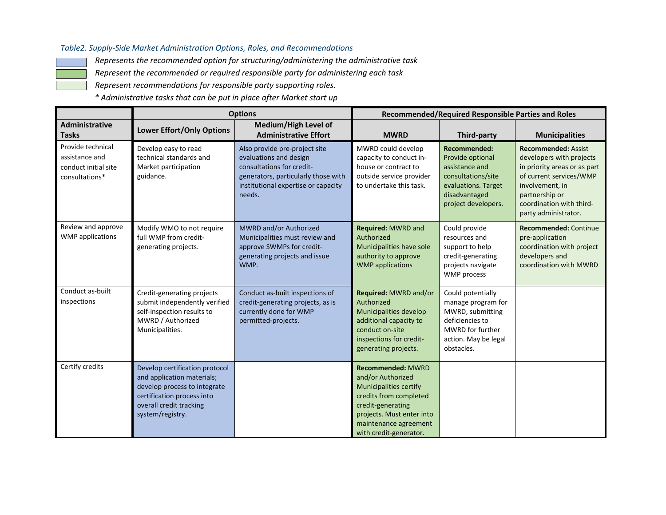#### *Table2. Supply-Side Market Administration Options, Roles, and Recommendations*

*Represents the recommended option for structuring/administering the administrative task*

*Represent the recommended or required responsible party for administering each task*

*Represent recommendations for responsible party supporting roles.*

*\* Administrative tasks that can be put in place after Market start up*

|                                                                               | <b>Options</b>                                                                                                                                                            |                                                                                                                                                                              | <b>Recommended/Required Responsible Parties and Roles</b>                                                                                                                                                     |                                                                                                                                          |                                                                                                                                                                                                            |  |
|-------------------------------------------------------------------------------|---------------------------------------------------------------------------------------------------------------------------------------------------------------------------|------------------------------------------------------------------------------------------------------------------------------------------------------------------------------|---------------------------------------------------------------------------------------------------------------------------------------------------------------------------------------------------------------|------------------------------------------------------------------------------------------------------------------------------------------|------------------------------------------------------------------------------------------------------------------------------------------------------------------------------------------------------------|--|
| <b>Administrative</b><br><b>Tasks</b>                                         | <b>Lower Effort/Only Options</b>                                                                                                                                          | Medium/High Level of<br><b>Administrative Effort</b>                                                                                                                         | <b>MWRD</b>                                                                                                                                                                                                   | Third-party                                                                                                                              | <b>Municipalities</b>                                                                                                                                                                                      |  |
| Provide technical<br>assistance and<br>conduct initial site<br>consultations* | Develop easy to read<br>technical standards and<br>Market participation<br>guidance.                                                                                      | Also provide pre-project site<br>evaluations and design<br>consultations for credit-<br>generators, particularly those with<br>institutional expertise or capacity<br>needs. | MWRD could develop<br>capacity to conduct in-<br>house or contract to<br>outside service provider<br>to undertake this task.                                                                                  | Recommended:<br>Provide optional<br>assistance and<br>consultations/site<br>evaluations. Target<br>disadvantaged<br>project developers.  | <b>Recommended: Assist</b><br>developers with projects<br>in priority areas or as part<br>of current services/WMP<br>involvement, in<br>partnership or<br>coordination with third-<br>party administrator. |  |
| Review and approve<br><b>WMP</b> applications                                 | Modify WMO to not require<br>full WMP from credit-<br>generating projects.                                                                                                | MWRD and/or Authorized<br>Municipalities must review and<br>approve SWMPs for credit-<br>generating projects and issue<br>WMP.                                               | Required: MWRD and<br>Authorized<br>Municipalities have sole<br>authority to approve<br><b>WMP</b> applications                                                                                               | Could provide<br>resources and<br>support to help<br>credit-generating<br>projects navigate<br>WMP process                               | Recommended: Continue<br>pre-application<br>coordination with project<br>developers and<br>coordination with MWRD                                                                                          |  |
| Conduct as-built<br>inspections                                               | Credit-generating projects<br>submit independently verified<br>self-inspection results to<br>MWRD / Authorized<br>Municipalities.                                         | Conduct as-built inspections of<br>credit-generating projects, as is<br>currently done for WMP<br>permitted-projects.                                                        | Required: MWRD and/or<br>Authorized<br>Municipalities develop<br>additional capacity to<br>conduct on-site<br>inspections for credit-<br>generating projects.                                                 | Could potentially<br>manage program for<br>MWRD, submitting<br>deficiencies to<br>MWRD for further<br>action. May be legal<br>obstacles. |                                                                                                                                                                                                            |  |
| Certify credits                                                               | Develop certification protocol<br>and application materials;<br>develop process to integrate<br>certification process into<br>overall credit tracking<br>system/registry. |                                                                                                                                                                              | <b>Recommended: MWRD</b><br>and/or Authorized<br><b>Municipalities certify</b><br>credits from completed<br>credit-generating<br>projects. Must enter into<br>maintenance agreement<br>with credit-generator. |                                                                                                                                          |                                                                                                                                                                                                            |  |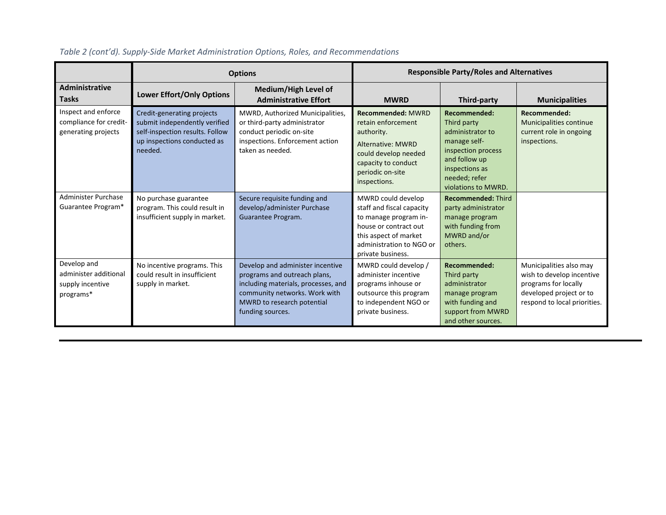|                                                                       | <b>Options</b>                                                                                                                           |                                                                                                                                                                                            | <b>Responsible Party/Roles and Alternatives</b>                                                                                                                             |                                                                                                                                                                  |                                                                                                                                         |  |
|-----------------------------------------------------------------------|------------------------------------------------------------------------------------------------------------------------------------------|--------------------------------------------------------------------------------------------------------------------------------------------------------------------------------------------|-----------------------------------------------------------------------------------------------------------------------------------------------------------------------------|------------------------------------------------------------------------------------------------------------------------------------------------------------------|-----------------------------------------------------------------------------------------------------------------------------------------|--|
| Administrative<br><b>Tasks</b>                                        | <b>Lower Effort/Only Options</b>                                                                                                         | Medium/High Level of<br><b>Administrative Effort</b>                                                                                                                                       | <b>MWRD</b>                                                                                                                                                                 | Third-party                                                                                                                                                      | <b>Municipalities</b>                                                                                                                   |  |
| Inspect and enforce<br>compliance for credit-<br>generating projects  | Credit-generating projects<br>submit independently verified<br>self-inspection results. Follow<br>up inspections conducted as<br>needed. | MWRD, Authorized Municipalities,<br>or third-party administrator<br>conduct periodic on-site<br>inspections. Enforcement action<br>taken as needed.                                        | <b>Recommended: MWRD</b><br>retain enforcement<br>authority.<br>Alternative: MWRD<br>could develop needed<br>capacity to conduct<br>periodic on-site<br>inspections.        | Recommended:<br>Third party<br>administrator to<br>manage self-<br>inspection process<br>and follow up<br>inspections as<br>needed; refer<br>violations to MWRD. | Recommended:<br>Municipalities continue<br>current role in ongoing<br>inspections.                                                      |  |
| Administer Purchase<br>Guarantee Program*                             | No purchase guarantee<br>program. This could result in<br>insufficient supply in market.                                                 | Secure requisite funding and<br>develop/administer Purchase<br>Guarantee Program.                                                                                                          | MWRD could develop<br>staff and fiscal capacity<br>to manage program in-<br>house or contract out<br>this aspect of market<br>administration to NGO or<br>private business. | <b>Recommended: Third</b><br>party administrator<br>manage program<br>with funding from<br>MWRD and/or<br>others.                                                |                                                                                                                                         |  |
| Develop and<br>administer additional<br>supply incentive<br>programs* | No incentive programs. This<br>could result in insufficient<br>supply in market.                                                         | Develop and administer incentive<br>programs and outreach plans,<br>including materials, processes, and<br>community networks. Work with<br>MWRD to research potential<br>funding sources. | MWRD could develop /<br>administer incentive<br>programs inhouse or<br>outsource this program<br>to independent NGO or<br>private business.                                 | Recommended:<br>Third party<br>administrator<br>manage program<br>with funding and<br>support from MWRD<br>and other sources.                                    | Municipalities also may<br>wish to develop incentive<br>programs for locally<br>developed project or to<br>respond to local priorities. |  |

### *Table 2 (cont'd). Supply-Side Market Administration Options, Roles, and Recommendations*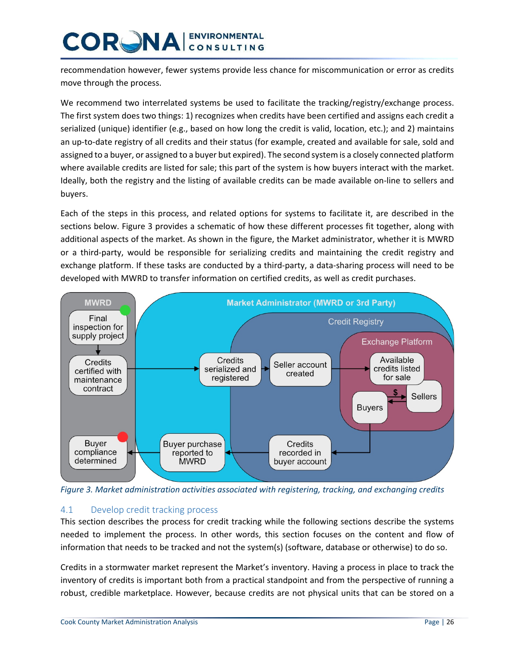recommendation however, fewer systems provide less chance for miscommunication or error as credits move through the process.

We recommend two interrelated systems be used to facilitate the tracking/registry/exchange process. The first system does two things: 1) recognizes when credits have been certified and assigns each credit a serialized (unique) identifier (e.g., based on how long the credit is valid, location, etc.); and 2) maintains an up-to-date registry of all credits and their status (for example, created and available for sale, sold and assigned to a buyer, or assigned to a buyer but expired). The second system is a closely connected platform where available credits are listed for sale; this part of the system is how buyers interact with the market. Ideally, both the registry and the listing of available credits can be made available on-line to sellers and buyers.

Each of the steps in this process, and related options for systems to facilitate it, are described in the sections below. Figure 3 provides a schematic of how these different processes fit together, along with additional aspects of the market. As shown in the figure, the Market administrator, whether it is MWRD or a third-party, would be responsible for serializing credits and maintaining the credit registry and exchange platform. If these tasks are conducted by a third-party, a data-sharing process will need to be developed with MWRD to transfer information on certified credits, as well as credit purchases.



*Figure 3. Market administration activities associated with registering, tracking, and exchanging credits*

#### 4.1 Develop credit tracking process

This section describes the process for credit tracking while the following sections describe the systems needed to implement the process. In other words, this section focuses on the content and flow of information that needs to be tracked and not the system(s) (software, database or otherwise) to do so.

Credits in a stormwater market represent the Market's inventory. Having a process in place to track the inventory of credits is important both from a practical standpoint and from the perspective of running a robust, credible marketplace. However, because credits are not physical units that can be stored on a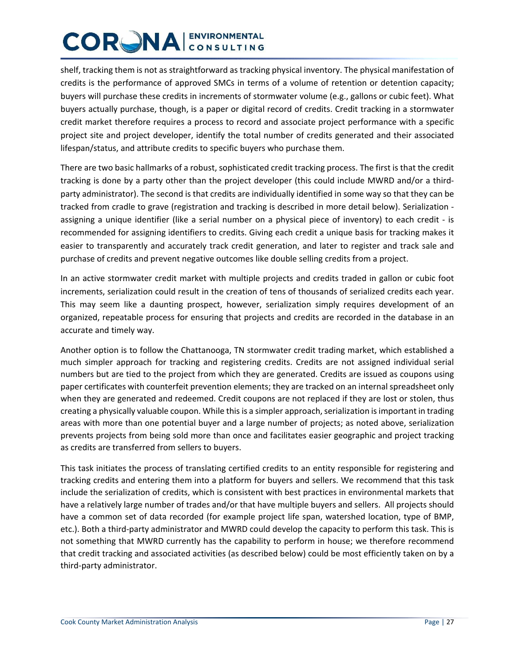shelf, tracking them is not as straightforward as tracking physical inventory. The physical manifestation of credits is the performance of approved SMCs in terms of a volume of retention or detention capacity; buyers will purchase these credits in increments of stormwater volume (e.g., gallons or cubic feet). What buyers actually purchase, though, is a paper or digital record of credits. Credit tracking in a stormwater credit market therefore requires a process to record and associate project performance with a specific project site and project developer, identify the total number of credits generated and their associated lifespan/status, and attribute credits to specific buyers who purchase them.

There are two basic hallmarks of a robust, sophisticated credit tracking process. The first is that the credit tracking is done by a party other than the project developer (this could include MWRD and/or a thirdparty administrator). The second is that credits are individually identified in some way so that they can be tracked from cradle to grave (registration and tracking is described in more detail below). Serialization assigning a unique identifier (like a serial number on a physical piece of inventory) to each credit - is recommended for assigning identifiers to credits. Giving each credit a unique basis for tracking makes it easier to transparently and accurately track credit generation, and later to register and track sale and purchase of credits and prevent negative outcomes like double selling credits from a project.

In an active stormwater credit market with multiple projects and credits traded in gallon or cubic foot increments, serialization could result in the creation of tens of thousands of serialized credits each year. This may seem like a daunting prospect, however, serialization simply requires development of an organized, repeatable process for ensuring that projects and credits are recorded in the database in an accurate and timely way.

Another option is to follow the Chattanooga, TN stormwater credit trading market, which established a much simpler approach for tracking and registering credits. Credits are not assigned individual serial numbers but are tied to the project from which they are generated. Credits are issued as coupons using paper certificates with counterfeit prevention elements; they are tracked on an internal spreadsheet only when they are generated and redeemed. Credit coupons are not replaced if they are lost or stolen, thus creating a physically valuable coupon. While this is a simpler approach, serialization is important in trading areas with more than one potential buyer and a large number of projects; as noted above, serialization prevents projects from being sold more than once and facilitates easier geographic and project tracking as credits are transferred from sellers to buyers.

This task initiates the process of translating certified credits to an entity responsible for registering and tracking credits and entering them into a platform for buyers and sellers. We recommend that this task include the serialization of credits, which is consistent with best practices in environmental markets that have a relatively large number of trades and/or that have multiple buyers and sellers. All projects should have a common set of data recorded (for example project life span, watershed location, type of BMP, etc.). Both a third-party administrator and MWRD could develop the capacity to perform this task. This is not something that MWRD currently has the capability to perform in house; we therefore recommend that credit tracking and associated activities (as described below) could be most efficiently taken on by a third-party administrator.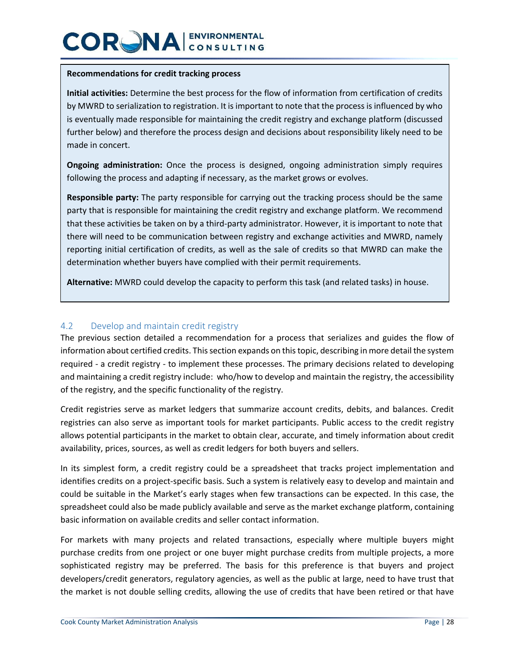#### **Recommendations for credit tracking process**

**Initial activities:** Determine the best process for the flow of information from certification of credits by MWRD to serialization to registration. It is important to note that the process is influenced by who is eventually made responsible for maintaining the credit registry and exchange platform (discussed further below) and therefore the process design and decisions about responsibility likely need to be made in concert.

**Ongoing administration:** Once the process is designed, ongoing administration simply requires following the process and adapting if necessary, as the market grows or evolves.

**Responsible party:** The party responsible for carrying out the tracking process should be the same party that is responsible for maintaining the credit registry and exchange platform. We recommend that these activities be taken on by a third-party administrator. However, it is important to note that there will need to be communication between registry and exchange activities and MWRD, namely reporting initial certification of credits, as well as the sale of credits so that MWRD can make the determination whether buyers have complied with their permit requirements.

**Alternative:** MWRD could develop the capacity to perform this task (and related tasks) in house.

#### 4.2 Develop and maintain credit registry

The previous section detailed a recommendation for a process that serializes and guides the flow of information about certified credits. This section expands on this topic, describing in more detail the system required - a credit registry - to implement these processes. The primary decisions related to developing and maintaining a credit registry include: who/how to develop and maintain the registry, the accessibility of the registry, and the specific functionality of the registry.

Credit registries serve as market ledgers that summarize account credits, debits, and balances. Credit registries can also serve as important tools for market participants. Public access to the credit registry allows potential participants in the market to obtain clear, accurate, and timely information about credit availability, prices, sources, as well as credit ledgers for both buyers and sellers.

In its simplest form, a credit registry could be a spreadsheet that tracks project implementation and identifies credits on a project-specific basis. Such a system is relatively easy to develop and maintain and could be suitable in the Market's early stages when few transactions can be expected. In this case, the spreadsheet could also be made publicly available and serve as the market exchange platform, containing basic information on available credits and seller contact information.

For markets with many projects and related transactions, especially where multiple buyers might purchase credits from one project or one buyer might purchase credits from multiple projects, a more sophisticated registry may be preferred. The basis for this preference is that buyers and project developers/credit generators, regulatory agencies, as well as the public at large, need to have trust that the market is not double selling credits, allowing the use of credits that have been retired or that have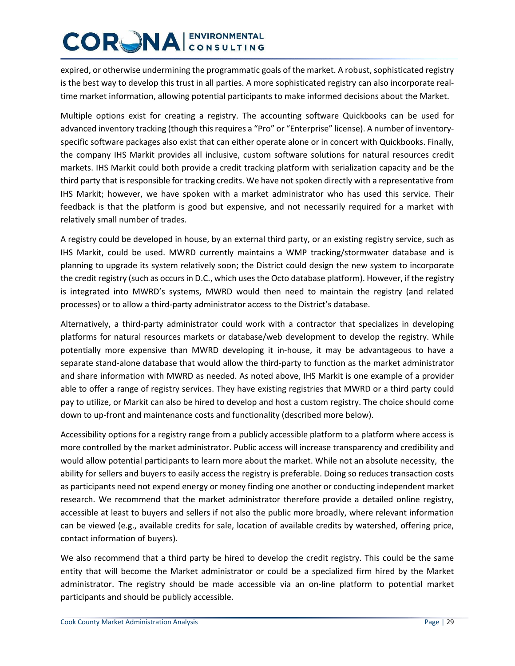expired, or otherwise undermining the programmatic goals of the market. A robust, sophisticated registry is the best way to develop this trust in all parties. A more sophisticated registry can also incorporate realtime market information, allowing potential participants to make informed decisions about the Market.

Multiple options exist for creating a registry. The accounting software Quickbooks can be used for advanced inventory tracking (though this requires a "Pro" or "Enterprise" license). A number of inventoryspecific software packages also exist that can either operate alone or in concert with Quickbooks. Finally, the company IHS Markit provides all inclusive, custom software solutions for natural resources credit markets. IHS Markit could both provide a credit tracking platform with serialization capacity and be the third party that is responsible for tracking credits. We have not spoken directly with a representative from IHS Markit; however, we have spoken with a market administrator who has used this service. Their feedback is that the platform is good but expensive, and not necessarily required for a market with relatively small number of trades.

A registry could be developed in house, by an external third party, or an existing registry service, such as IHS Markit, could be used. MWRD currently maintains a WMP tracking/stormwater database and is planning to upgrade its system relatively soon; the District could design the new system to incorporate the credit registry (such as occurs in D.C., which uses the Octo database platform). However, if the registry is integrated into MWRD's systems, MWRD would then need to maintain the registry (and related processes) or to allow a third-party administrator access to the District's database.

Alternatively, a third-party administrator could work with a contractor that specializes in developing platforms for natural resources markets or database/web development to develop the registry. While potentially more expensive than MWRD developing it in-house, it may be advantageous to have a separate stand-alone database that would allow the third-party to function as the market administrator and share information with MWRD as needed. As noted above, IHS Markit is one example of a provider able to offer a range of registry services. They have existing registries that MWRD or a third party could pay to utilize, or Markit can also be hired to develop and host a custom registry. The choice should come down to up-front and maintenance costs and functionality (described more below).

Accessibility options for a registry range from a publicly accessible platform to a platform where access is more controlled by the market administrator. Public access will increase transparency and credibility and would allow potential participants to learn more about the market. While not an absolute necessity, the ability for sellers and buyers to easily access the registry is preferable. Doing so reduces transaction costs as participants need not expend energy or money finding one another or conducting independent market research. We recommend that the market administrator therefore provide a detailed online registry, accessible at least to buyers and sellers if not also the public more broadly, where relevant information can be viewed (e.g., available credits for sale, location of available credits by watershed, offering price, contact information of buyers).

We also recommend that a third party be hired to develop the credit registry. This could be the same entity that will become the Market administrator or could be a specialized firm hired by the Market administrator. The registry should be made accessible via an on-line platform to potential market participants and should be publicly accessible.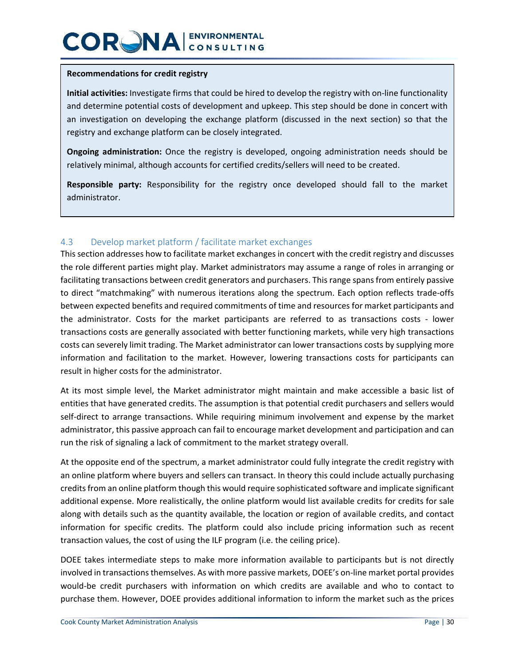#### **Recommendations for credit registry**

**Initial activities:** Investigate firms that could be hired to develop the registry with on-line functionality and determine potential costs of development and upkeep. This step should be done in concert with an investigation on developing the exchange platform (discussed in the next section) so that the registry and exchange platform can be closely integrated.

**Ongoing administration:** Once the registry is developed, ongoing administration needs should be relatively minimal, although accounts for certified credits/sellers will need to be created.

**Responsible party:** Responsibility for the registry once developed should fall to the market administrator.

#### 4.3 Develop market platform / facilitate market exchanges

This section addresses how to facilitate market exchanges in concert with the credit registry and discusses the role different parties might play. Market administrators may assume a range of roles in arranging or facilitating transactions between credit generators and purchasers. This range spans from entirely passive to direct "matchmaking" with numerous iterations along the spectrum. Each option reflects trade-offs between expected benefits and required commitments of time and resources for market participants and the administrator. Costs for the market participants are referred to as transactions costs - lower transactions costs are generally associated with better functioning markets, while very high transactions costs can severely limit trading. The Market administrator can lower transactions costs by supplying more information and facilitation to the market. However, lowering transactions costs for participants can result in higher costs for the administrator.

At its most simple level, the Market administrator might maintain and make accessible a basic list of entities that have generated credits. The assumption is that potential credit purchasers and sellers would self-direct to arrange transactions. While requiring minimum involvement and expense by the market administrator, this passive approach can fail to encourage market development and participation and can run the risk of signaling a lack of commitment to the market strategy overall.

At the opposite end of the spectrum, a market administrator could fully integrate the credit registry with an online platform where buyers and sellers can transact. In theory this could include actually purchasing credits from an online platform though this would require sophisticated software and implicate significant additional expense. More realistically, the online platform would list available credits for credits for sale along with details such as the quantity available, the location or region of available credits, and contact information for specific credits. The platform could also include pricing information such as recent transaction values, the cost of using the ILF program (i.e. the ceiling price).

DOEE takes intermediate steps to make more information available to participants but is not directly involved in transactions themselves. As with more passive markets, DOEE's on-line market portal provides would-be credit purchasers with information on which credits are available and who to contact to purchase them. However, DOEE provides additional information to inform the market such as the prices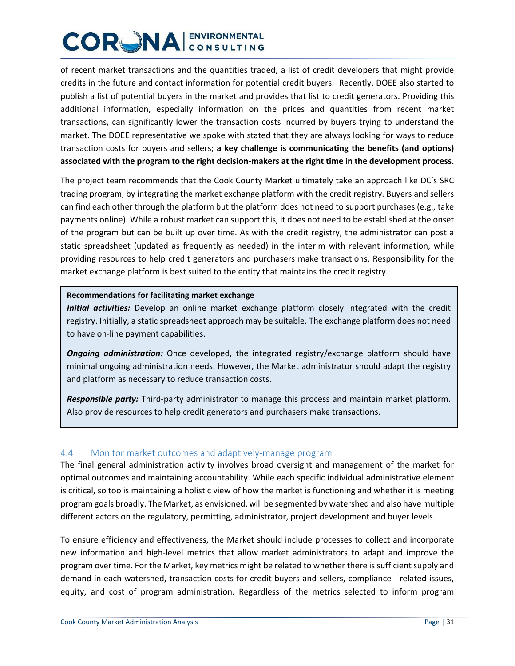of recent market transactions and the quantities traded, a list of credit developers that might provide credits in the future and contact information for potential credit buyers. Recently, DOEE also started to publish a list of potential buyers in the market and provides that list to credit generators. Providing this additional information, especially information on the prices and quantities from recent market transactions, can significantly lower the transaction costs incurred by buyers trying to understand the market. The DOEE representative we spoke with stated that they are always looking for ways to reduce transaction costs for buyers and sellers; **a key challenge is communicating the benefits (and options) associated with the program to the right decision-makers at the right time in the development process.**

The project team recommends that the Cook County Market ultimately take an approach like DC's SRC trading program, by integrating the market exchange platform with the credit registry. Buyers and sellers can find each other through the platform but the platform does not need to support purchases (e.g., take payments online). While a robust market can support this, it does not need to be established at the onset of the program but can be built up over time. As with the credit registry, the administrator can post a static spreadsheet (updated as frequently as needed) in the interim with relevant information, while providing resources to help credit generators and purchasers make transactions. Responsibility for the market exchange platform is best suited to the entity that maintains the credit registry.

#### **Recommendations for facilitating market exchange**

*Initial activities:* Develop an online market exchange platform closely integrated with the credit registry. Initially, a static spreadsheet approach may be suitable. The exchange platform does not need to have on-line payment capabilities.

*Ongoing administration:* Once developed, the integrated registry/exchange platform should have minimal ongoing administration needs. However, the Market administrator should adapt the registry and platform as necessary to reduce transaction costs.

*Responsible party:* Third-party administrator to manage this process and maintain market platform. Also provide resources to help credit generators and purchasers make transactions.

#### 4.4 Monitor market outcomes and adaptively-manage program

The final general administration activity involves broad oversight and management of the market for optimal outcomes and maintaining accountability. While each specific individual administrative element is critical, so too is maintaining a holistic view of how the market is functioning and whether it is meeting program goals broadly. The Market, as envisioned, will be segmented by watershed and also have multiple different actors on the regulatory, permitting, administrator, project development and buyer levels.

To ensure efficiency and effectiveness, the Market should include processes to collect and incorporate new information and high-level metrics that allow market administrators to adapt and improve the program over time. For the Market, key metrics might be related to whether there is sufficient supply and demand in each watershed, transaction costs for credit buyers and sellers, compliance - related issues, equity, and cost of program administration. Regardless of the metrics selected to inform program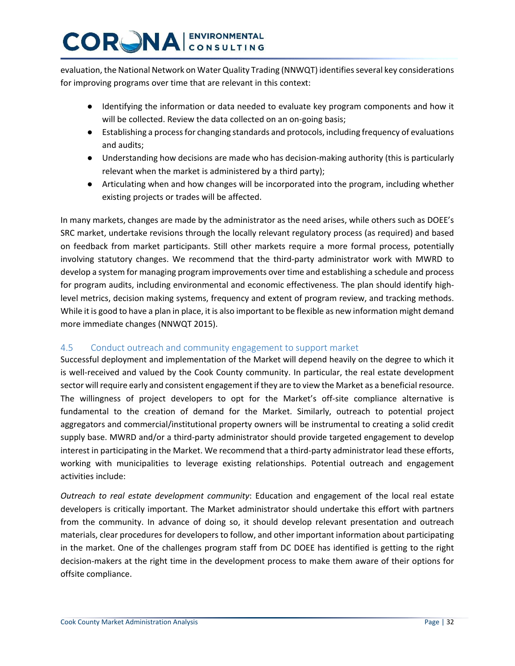evaluation, the National Network on Water Quality Trading (NNWQT) identifies several key considerations for improving programs over time that are relevant in this context:

- Identifying the information or data needed to evaluate key program components and how it will be collected. Review the data collected on an on-going basis;
- Establishing a process for changing standards and protocols, including frequency of evaluations and audits;
- Understanding how decisions are made who has decision-making authority (this is particularly relevant when the market is administered by a third party);
- Articulating when and how changes will be incorporated into the program, including whether existing projects or trades will be affected.

In many markets, changes are made by the administrator as the need arises, while others such as DOEE's SRC market, undertake revisions through the locally relevant regulatory process (as required) and based on feedback from market participants. Still other markets require a more formal process, potentially involving statutory changes. We recommend that the third-party administrator work with MWRD to develop a system for managing program improvements over time and establishing a schedule and process for program audits, including environmental and economic effectiveness. The plan should identify highlevel metrics, decision making systems, frequency and extent of program review, and tracking methods. While it is good to have a plan in place, it is also important to be flexible as new information might demand more immediate changes (NNWQT 2015).

#### 4.5 Conduct outreach and community engagement to support market

Successful deployment and implementation of the Market will depend heavily on the degree to which it is well-received and valued by the Cook County community. In particular, the real estate development sector will require early and consistent engagement if they are to view the Market as a beneficial resource. The willingness of project developers to opt for the Market's off-site compliance alternative is fundamental to the creation of demand for the Market. Similarly, outreach to potential project aggregators and commercial/institutional property owners will be instrumental to creating a solid credit supply base. MWRD and/or a third-party administrator should provide targeted engagement to develop interest in participating in the Market. We recommend that a third-party administrator lead these efforts, working with municipalities to leverage existing relationships. Potential outreach and engagement activities include:

*Outreach to real estate development community*: Education and engagement of the local real estate developers is critically important. The Market administrator should undertake this effort with partners from the community. In advance of doing so, it should develop relevant presentation and outreach materials, clear procedures for developers to follow, and other important information about participating in the market. One of the challenges program staff from DC DOEE has identified is getting to the right decision-makers at the right time in the development process to make them aware of their options for offsite compliance.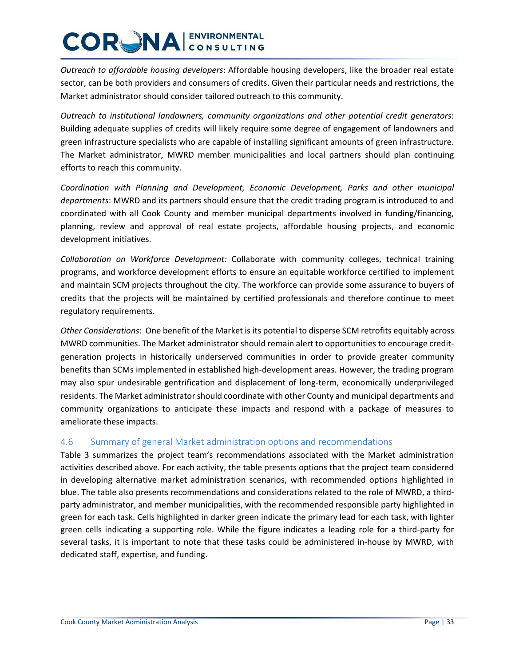*Outreach to affordable housing developers*: Affordable housing developers, like the broader real estate sector, can be both providers and consumers of credits. Given their particular needs and restrictions, the Market administrator should consider tailored outreach to this community.

*Outreach to institutional landowners, community organizations and other potential credit generators*: Building adequate supplies of credits will likely require some degree of engagement of landowners and green infrastructure specialists who are capable of installing significant amounts of green infrastructure. The Market administrator, MWRD member municipalities and local partners should plan continuing efforts to reach this community.

*Coordination with Planning and Development, Economic Development, Parks and other municipal departments*: MWRD and its partners should ensure that the credit trading program is introduced to and coordinated with all Cook County and member municipal departments involved in funding/financing, planning, review and approval of real estate projects, affordable housing projects, and economic development initiatives.

*Collaboration on Workforce Development:* Collaborate with community colleges, technical training programs, and workforce development efforts to ensure an equitable workforce certified to implement and maintain SCM projects throughout the city. The workforce can provide some assurance to buyers of credits that the projects will be maintained by certified professionals and therefore continue to meet regulatory requirements.

*Other Considerations*: One benefit of the Market is its potential to disperse SCM retrofits equitably across MWRD communities. The Market administrator should remain alert to opportunities to encourage creditgeneration projects in historically underserved communities in order to provide greater community benefits than SCMs implemented in established high-development areas. However, the trading program may also spur undesirable gentrification and displacement of long-term, economically underprivileged residents. The Market administrator should coordinate with other County and municipal departments and community organizations to anticipate these impacts and respond with a package of measures to ameliorate these impacts.

#### 4.6 Summary of general Market administration options and recommendations

Table 3 summarizes the project team's recommendations associated with the Market administration activities described above. For each activity, the table presents options that the project team considered in developing alternative market administration scenarios, with recommended options highlighted in blue. The table also presents recommendations and considerations related to the role of MWRD, a thirdparty administrator, and member municipalities, with the recommended responsible party highlighted in green for each task. Cells highlighted in darker green indicate the primary lead for each task, with lighter green cells indicating a supporting role. While the figure indicates a leading role for a third-party for several tasks, it is important to note that these tasks could be administered in-house by MWRD, with dedicated staff, expertise, and funding.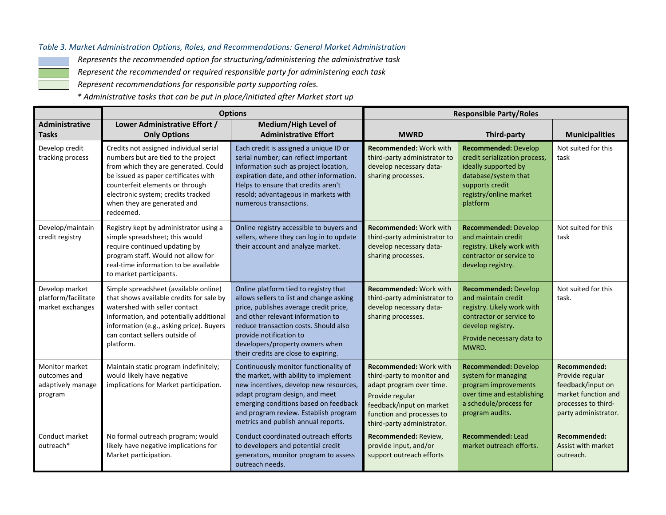#### *Table 3. Market Administration Options, Roles, and Recommendations: General Market Administration*

*Represents the recommended option for structuring/administering the administrative task*

*Represent the recommended or required responsible party for administering each task*

*Represent recommendations for responsible party supporting roles.*

*\* Administrative tasks that can be put in place/initiated after Market start up* 

|                                                                | <b>Options</b>                                                                                                                                                                                                                                                                     |                                                                                                                                                                                                                                                                                                                 | <b>Responsible Party/Roles</b>                                                                                                                                                                    |                                                                                                                                                                         |                                                                                                                                   |
|----------------------------------------------------------------|------------------------------------------------------------------------------------------------------------------------------------------------------------------------------------------------------------------------------------------------------------------------------------|-----------------------------------------------------------------------------------------------------------------------------------------------------------------------------------------------------------------------------------------------------------------------------------------------------------------|---------------------------------------------------------------------------------------------------------------------------------------------------------------------------------------------------|-------------------------------------------------------------------------------------------------------------------------------------------------------------------------|-----------------------------------------------------------------------------------------------------------------------------------|
| <b>Administrative</b><br><b>Tasks</b>                          | Lower Administrative Effort /<br><b>Only Options</b>                                                                                                                                                                                                                               | Medium/High Level of<br><b>Administrative Effort</b>                                                                                                                                                                                                                                                            | <b>MWRD</b>                                                                                                                                                                                       | Third-party                                                                                                                                                             | <b>Municipalities</b>                                                                                                             |
| Develop credit<br>tracking process                             | Credits not assigned individual serial<br>numbers but are tied to the project<br>from which they are generated. Could<br>be issued as paper certificates with<br>counterfeit elements or through<br>electronic system; credits tracked<br>when they are generated and<br>redeemed. | Each credit is assigned a unique ID or<br>serial number; can reflect important<br>information such as project location,<br>expiration date, and other information.<br>Helps to ensure that credits aren't<br>resold; advantageous in markets with<br>numerous transactions.                                     | <b>Recommended: Work with</b><br>third-party administrator to<br>develop necessary data-<br>sharing processes.                                                                                    | Recommended: Develop<br>credit serialization process,<br>ideally supported by<br>database/system that<br>supports credit<br>registry/online market<br>platform          | Not suited for this<br>task                                                                                                       |
| Develop/maintain<br>credit registry                            | Registry kept by administrator using a<br>simple spreadsheet; this would<br>require continued updating by<br>program staff. Would not allow for<br>real-time information to be available<br>to market participants.                                                                | Online registry accessible to buyers and<br>sellers, where they can log in to update<br>their account and analyze market.                                                                                                                                                                                       | <b>Recommended: Work with</b><br>third-party administrator to<br>develop necessary data-<br>sharing processes.                                                                                    | <b>Recommended: Develop</b><br>and maintain credit<br>registry. Likely work with<br>contractor or service to<br>develop registry.                                       | Not suited for this<br>task                                                                                                       |
| Develop market<br>platform/facilitate<br>market exchanges      | Simple spreadsheet (available online)<br>that shows available credits for sale by<br>watershed with seller contact<br>information, and potentially additional<br>information (e.g., asking price). Buyers<br>can contact sellers outside of<br>platform.                           | Online platform tied to registry that<br>allows sellers to list and change asking<br>price, publishes average credit price,<br>and other relevant information to<br>reduce transaction costs. Should also<br>provide notification to<br>developers/property owners when<br>their credits are close to expiring. | <b>Recommended: Work with</b><br>third-party administrator to<br>develop necessary data-<br>sharing processes.                                                                                    | <b>Recommended: Develop</b><br>and maintain credit<br>registry. Likely work with<br>contractor or service to<br>develop registry.<br>Provide necessary data to<br>MWRD. | Not suited for this<br>task.                                                                                                      |
| Monitor market<br>outcomes and<br>adaptively manage<br>program | Maintain static program indefinitely;<br>would likely have negative<br>implications for Market participation.                                                                                                                                                                      | Continuously monitor functionality of<br>the market, with ability to implement<br>new incentives, develop new resources,<br>adapt program design, and meet<br>emerging conditions based on feedback<br>and program review. Establish program<br>metrics and publish annual reports.                             | <b>Recommended: Work with</b><br>third-party to monitor and<br>adapt program over time.<br>Provide regular<br>feedback/input on market<br>function and processes to<br>third-party administrator. | <b>Recommended: Develop</b><br>system for managing<br>program improvements<br>over time and establishing<br>a schedule/process for<br>program audits.                   | <b>Recommended:</b><br>Provide regular<br>feedback/input on<br>market function and<br>processes to third-<br>party administrator. |
| Conduct market<br>outreach*                                    | No formal outreach program; would<br>likely have negative implications for<br>Market participation.                                                                                                                                                                                | Conduct coordinated outreach efforts<br>to developers and potential credit<br>generators, monitor program to assess<br>outreach needs.                                                                                                                                                                          | Recommended: Review,<br>provide input, and/or<br>support outreach efforts                                                                                                                         | <b>Recommended: Lead</b><br>market outreach efforts.                                                                                                                    | Recommended:<br>Assist with market<br>outreach.                                                                                   |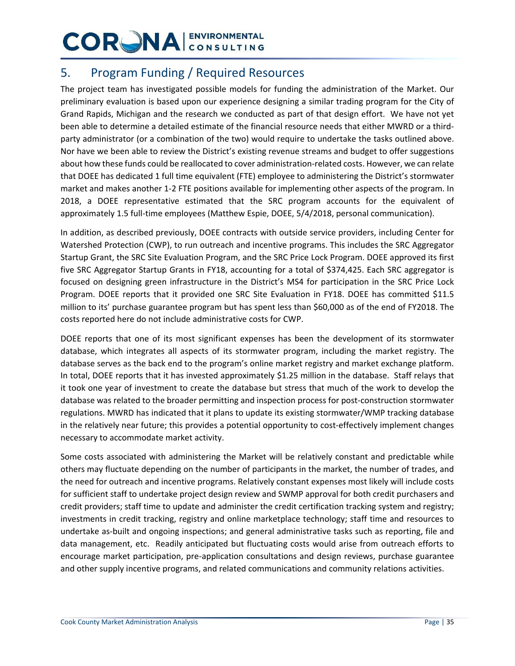### 5. Program Funding / Required Resources

The project team has investigated possible models for funding the administration of the Market. Our preliminary evaluation is based upon our experience designing a similar trading program for the City of Grand Rapids, Michigan and the research we conducted as part of that design effort. We have not yet been able to determine a detailed estimate of the financial resource needs that either MWRD or a thirdparty administrator (or a combination of the two) would require to undertake the tasks outlined above. Nor have we been able to review the District's existing revenue streams and budget to offer suggestions about how these funds could be reallocated to cover administration-related costs. However, we can relate that DOEE has dedicated 1 full time equivalent (FTE) employee to administering the District's stormwater market and makes another 1-2 FTE positions available for implementing other aspects of the program. In 2018, a DOEE representative estimated that the SRC program accounts for the equivalent of approximately 1.5 full-time employees (Matthew Espie, DOEE, 5/4/2018, personal communication).

In addition, as described previously, DOEE contracts with outside service providers, including Center for Watershed Protection (CWP), to run outreach and incentive programs. This includes the SRC Aggregator Startup Grant, the SRC Site Evaluation Program, and the SRC Price Lock Program. DOEE approved its first five SRC Aggregator Startup Grants in FY18, accounting for a total of \$374,425. Each SRC aggregator is focused on designing green infrastructure in the District's MS4 for participation in the SRC Price Lock Program. DOEE reports that it provided one SRC Site Evaluation in FY18. DOEE has committed \$11.5 million to its' purchase guarantee program but has spent less than \$60,000 as of the end of FY2018. The costs reported here do not include administrative costs for CWP.

DOEE reports that one of its most significant expenses has been the development of its stormwater database, which integrates all aspects of its stormwater program, including the market registry. The database serves as the back end to the program's online market registry and market exchange platform. In total, DOEE reports that it has invested approximately \$1.25 million in the database. Staff relays that it took one year of investment to create the database but stress that much of the work to develop the database was related to the broader permitting and inspection process for post-construction stormwater regulations. MWRD has indicated that it plans to update its existing stormwater/WMP tracking database in the relatively near future; this provides a potential opportunity to cost-effectively implement changes necessary to accommodate market activity.

Some costs associated with administering the Market will be relatively constant and predictable while others may fluctuate depending on the number of participants in the market, the number of trades, and the need for outreach and incentive programs. Relatively constant expenses most likely will include costs for sufficient staff to undertake project design review and SWMP approval for both credit purchasers and credit providers; staff time to update and administer the credit certification tracking system and registry; investments in credit tracking, registry and online marketplace technology; staff time and resources to undertake as-built and ongoing inspections; and general administrative tasks such as reporting, file and data management, etc. Readily anticipated but fluctuating costs would arise from outreach efforts to encourage market participation, pre-application consultations and design reviews, purchase guarantee and other supply incentive programs, and related communications and community relations activities.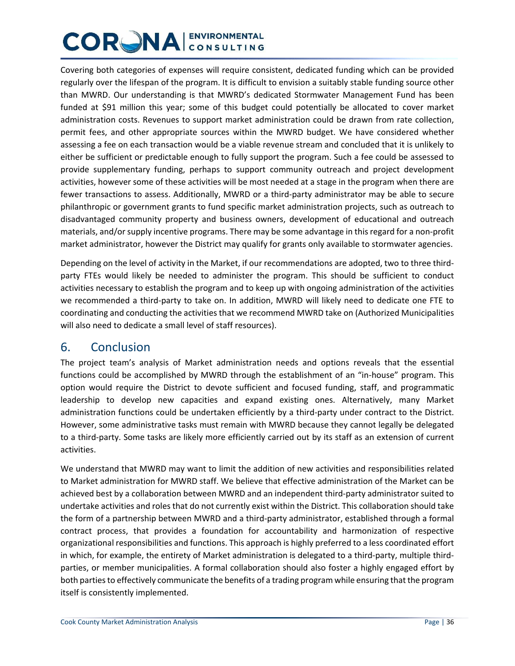Covering both categories of expenses will require consistent, dedicated funding which can be provided regularly over the lifespan of the program. It is difficult to envision a suitably stable funding source other than MWRD. Our understanding is that MWRD's dedicated Stormwater Management Fund has been funded at \$91 million this year; some of this budget could potentially be allocated to cover market administration costs. Revenues to support market administration could be drawn from rate collection, permit fees, and other appropriate sources within the MWRD budget. We have considered whether assessing a fee on each transaction would be a viable revenue stream and concluded that it is unlikely to either be sufficient or predictable enough to fully support the program. Such a fee could be assessed to provide supplementary funding, perhaps to support community outreach and project development activities, however some of these activities will be most needed at a stage in the program when there are fewer transactions to assess. Additionally, MWRD or a third-party administrator may be able to secure philanthropic or government grants to fund specific market administration projects, such as outreach to disadvantaged community property and business owners, development of educational and outreach materials, and/or supply incentive programs. There may be some advantage in this regard for a non-profit market administrator, however the District may qualify for grants only available to stormwater agencies.

Depending on the level of activity in the Market, if our recommendations are adopted, two to three thirdparty FTEs would likely be needed to administer the program. This should be sufficient to conduct activities necessary to establish the program and to keep up with ongoing administration of the activities we recommended a third-party to take on. In addition, MWRD will likely need to dedicate one FTE to coordinating and conducting the activities that we recommend MWRD take on (Authorized Municipalities will also need to dedicate a small level of staff resources).

### 6. Conclusion

The project team's analysis of Market administration needs and options reveals that the essential functions could be accomplished by MWRD through the establishment of an "in-house" program. This option would require the District to devote sufficient and focused funding, staff, and programmatic leadership to develop new capacities and expand existing ones. Alternatively, many Market administration functions could be undertaken efficiently by a third-party under contract to the District. However, some administrative tasks must remain with MWRD because they cannot legally be delegated to a third-party. Some tasks are likely more efficiently carried out by its staff as an extension of current activities.

We understand that MWRD may want to limit the addition of new activities and responsibilities related to Market administration for MWRD staff. We believe that effective administration of the Market can be achieved best by a collaboration between MWRD and an independent third-party administrator suited to undertake activities and roles that do not currently exist within the District. This collaboration should take the form of a partnership between MWRD and a third-party administrator, established through a formal contract process, that provides a foundation for accountability and harmonization of respective organizational responsibilities and functions. This approach is highly preferred to a less coordinated effort in which, for example, the entirety of Market administration is delegated to a third-party, multiple thirdparties, or member municipalities. A formal collaboration should also foster a highly engaged effort by both parties to effectively communicate the benefits of a trading program while ensuring that the program itself is consistently implemented.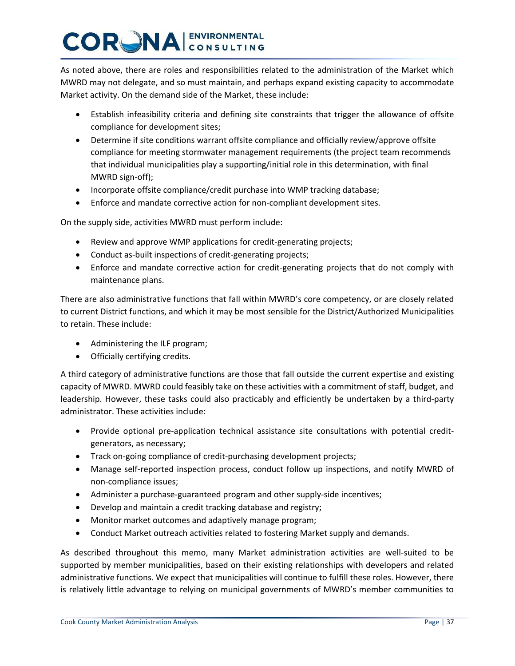As noted above, there are roles and responsibilities related to the administration of the Market which MWRD may not delegate, and so must maintain, and perhaps expand existing capacity to accommodate Market activity. On the demand side of the Market, these include:

- Establish infeasibility criteria and defining site constraints that trigger the allowance of offsite compliance for development sites;
- Determine if site conditions warrant offsite compliance and officially review/approve offsite compliance for meeting stormwater management requirements (the project team recommends that individual municipalities play a supporting/initial role in this determination, with final MWRD sign-off);
- Incorporate offsite compliance/credit purchase into WMP tracking database;
- Enforce and mandate corrective action for non-compliant development sites.

On the supply side, activities MWRD must perform include:

- Review and approve WMP applications for credit-generating projects;
- Conduct as-built inspections of credit-generating projects;
- Enforce and mandate corrective action for credit-generating projects that do not comply with maintenance plans.

There are also administrative functions that fall within MWRD's core competency, or are closely related to current District functions, and which it may be most sensible for the District/Authorized Municipalities to retain. These include:

- Administering the ILF program;
- Officially certifying credits.

A third category of administrative functions are those that fall outside the current expertise and existing capacity of MWRD. MWRD could feasibly take on these activities with a commitment of staff, budget, and leadership. However, these tasks could also practicably and efficiently be undertaken by a third-party administrator. These activities include:

- Provide optional pre-application technical assistance site consultations with potential creditgenerators, as necessary;
- Track on-going compliance of credit-purchasing development projects;
- Manage self-reported inspection process, conduct follow up inspections, and notify MWRD of non-compliance issues;
- Administer a purchase-guaranteed program and other supply-side incentives;
- Develop and maintain a credit tracking database and registry;
- Monitor market outcomes and adaptively manage program;
- Conduct Market outreach activities related to fostering Market supply and demands.

As described throughout this memo, many Market administration activities are well-suited to be supported by member municipalities, based on their existing relationships with developers and related administrative functions. We expect that municipalities will continue to fulfill these roles. However, there is relatively little advantage to relying on municipal governments of MWRD's member communities to